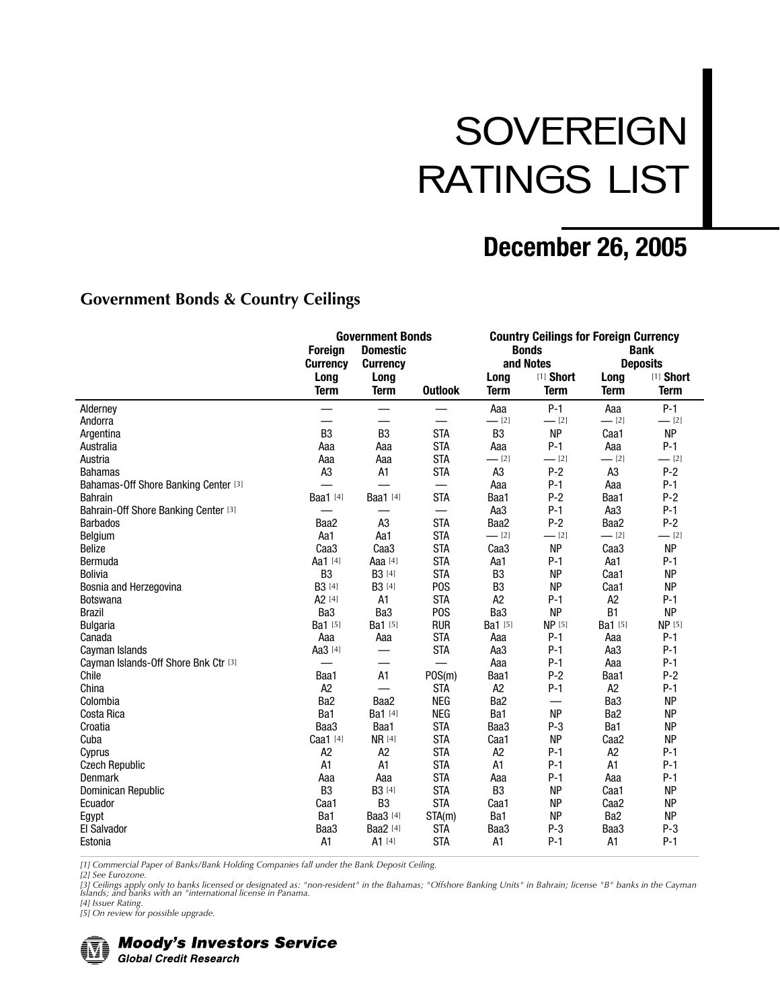# **SOVEREIGN** RATINGS LIST

# **December 26, 2005**

#### **Government Bonds & Country Ceilings**

|                                      | <b>Government Bonds</b><br><b>Domestic</b><br><b>Foreign</b><br><b>Currency</b><br><b>Currency</b> |                     |                          |                     | <b>Bonds</b><br>and Notes | <b>Country Ceilings for Foreign Currency</b><br><b>Bank</b><br><b>Deposits</b> |                                 |
|--------------------------------------|----------------------------------------------------------------------------------------------------|---------------------|--------------------------|---------------------|---------------------------|--------------------------------------------------------------------------------|---------------------------------|
|                                      | Long<br><b>Term</b>                                                                                | Long<br><b>Term</b> | <b>Outlook</b>           | Long<br><b>Term</b> | [1] Short<br><b>Term</b>  | Long<br><b>Term</b>                                                            | [1] <b>Short</b><br><b>Term</b> |
| Alderney                             | $\overline{\phantom{0}}$                                                                           | —                   | $\overline{\phantom{0}}$ | Aaa                 | $P-1$                     | Aaa                                                                            | $P-1$                           |
| Andorra                              | —                                                                                                  | —                   | —<br>—                   | $-$ [2]             | $-$ [2]                   | $-$ [2]                                                                        | $-$ [2]                         |
| Argentina                            | B <sub>3</sub>                                                                                     | B <sub>3</sub>      | <b>STA</b>               | B <sub>3</sub>      | <b>NP</b>                 | Caa1                                                                           | <b>NP</b>                       |
| Australia                            | Aaa                                                                                                | Aaa                 | <b>STA</b>               | Aaa                 | $P-1$                     | Aaa                                                                            | $P-1$                           |
| Austria                              | Aaa                                                                                                | Aaa                 | <b>STA</b>               | $-$ [2]             | $-$ [2]                   | $-$ [2]                                                                        | $-$ [2]                         |
| <b>Bahamas</b>                       | A <sub>3</sub>                                                                                     | A1                  | <b>STA</b>               | A <sub>3</sub>      | $P-2$                     | A <sub>3</sub>                                                                 | $P-2$                           |
| Bahamas-Off Shore Banking Center [3] |                                                                                                    |                     | $\overline{\phantom{0}}$ | Aaa                 | $P-1$                     | Aaa                                                                            | $P-1$                           |
| <b>Bahrain</b>                       | <b>Baa1</b> [4]                                                                                    | <b>Baa1</b> [4]     | <b>STA</b>               | Baa1                | $P-2$                     | Baa1                                                                           | $P-2$                           |
| Bahrain-Off Shore Banking Center [3] |                                                                                                    |                     | $\overline{\phantom{0}}$ | Aa3                 | $P-1$                     | Aa3                                                                            | $P-1$                           |
| <b>Barbados</b>                      | Baa2                                                                                               | A <sub>3</sub>      | <b>STA</b>               | Baa2                | $P-2$                     | Baa2                                                                           | $P-2$                           |
| Belgium                              | Aa1                                                                                                | Aa1                 | <b>STA</b>               | $-$ [2]             | $-$ [2]                   | $-$ [2]                                                                        | $-$ [2]                         |
| <b>Belize</b>                        | Caa <sub>3</sub>                                                                                   | Caa <sub>3</sub>    | <b>STA</b>               | Caa <sub>3</sub>    | <b>NP</b>                 | Caa <sub>3</sub>                                                               | <b>NP</b>                       |
| Bermuda                              | Aa1 [4]                                                                                            | Aaa [4]             | <b>STA</b>               | Aa1                 | $P-1$                     | Aa1                                                                            | $P-1$                           |
| <b>Bolivia</b>                       | B <sub>3</sub>                                                                                     | B3 [4]              | <b>STA</b>               | B <sub>3</sub>      | <b>NP</b>                 | Caa1                                                                           | <b>NP</b>                       |
| Bosnia and Herzegovina               | B3 [4]                                                                                             | B3 [4]              | P <sub>0</sub> S         | B <sub>3</sub>      | <b>NP</b>                 | Caa1                                                                           | <b>NP</b>                       |
| <b>Botswana</b>                      | A <sub>2</sub> [4]                                                                                 | A1                  | <b>STA</b>               | A <sub>2</sub>      | $P-1$                     | A <sub>2</sub>                                                                 | $P-1$                           |
| <b>Brazil</b>                        | Ba3                                                                                                | Ba <sub>3</sub>     | P <sub>O</sub> S         | Ba3                 | <b>NP</b>                 | B <sub>1</sub>                                                                 | <b>NP</b>                       |
| <b>Bulgaria</b>                      | Ba1 [5]                                                                                            | Ba1 [5]             | <b>RUR</b>               | Ba1 [5]             | <b>NP</b> [5]             | Ba1 [5]                                                                        | <b>NP</b> [5]                   |
| Canada                               | Aaa                                                                                                | Aaa                 | <b>STA</b>               | Aaa                 | $P-1$                     | Aaa                                                                            | $P-1$                           |
| Cayman Islands                       | Aa3 [4]                                                                                            |                     | <b>STA</b>               | Aa3                 | $P-1$                     | Aa <sub>3</sub>                                                                | $P-1$                           |
| Cayman Islands-Off Shore Bnk Ctr [3] |                                                                                                    |                     |                          | Aaa                 | $P-1$                     | Aaa                                                                            | $P-1$                           |
| Chile                                | Baa1                                                                                               | A1                  | POS(m)                   | Baa1                | $P-2$                     | Baa1                                                                           | $P-2$                           |
| China                                | A <sub>2</sub>                                                                                     |                     | <b>STA</b>               | A <sub>2</sub>      | $P-1$                     | A <sub>2</sub>                                                                 | $P-1$                           |
| Colombia                             | Ba <sub>2</sub>                                                                                    | Baa2                | <b>NEG</b>               | Ba <sub>2</sub>     | $\qquad \qquad$           | Ba <sub>3</sub>                                                                | <b>NP</b>                       |
| Costa Rica                           | Ba1                                                                                                | Ba1 [4]             | <b>NEG</b>               | Ba1                 | <b>NP</b>                 | Ba <sub>2</sub>                                                                | <b>NP</b>                       |
| Croatia                              | Baa3                                                                                               | Baa1                | <b>STA</b>               | Baa3                | $P-3$                     | Ba1                                                                            | <b>NP</b>                       |
| Cuba                                 | Caa1 [4]                                                                                           | <b>NR</b> [4]       | <b>STA</b>               | Caa1                | <b>NP</b>                 | Caa <sub>2</sub>                                                               | <b>NP</b>                       |
| Cyprus                               | A <sub>2</sub>                                                                                     | A <sub>2</sub>      | <b>STA</b>               | A <sub>2</sub>      | $P-1$                     | A <sub>2</sub>                                                                 | $P-1$                           |
| <b>Czech Republic</b>                | A <sub>1</sub>                                                                                     | A1                  | <b>STA</b>               | A <sub>1</sub>      | $P-1$                     | A1                                                                             | $P-1$                           |
| <b>Denmark</b>                       | Aaa                                                                                                | Aaa                 | <b>STA</b>               | Aaa                 | $P-1$                     | Aaa                                                                            | $P-1$                           |
| Dominican Republic                   | B <sub>3</sub>                                                                                     | B3 [4]              | <b>STA</b>               | B <sub>3</sub>      | <b>NP</b>                 | Caa1                                                                           | <b>NP</b>                       |
| Ecuador                              | Caa1                                                                                               | B <sub>3</sub>      | <b>STA</b>               | Caa1                | <b>NP</b>                 | Caa <sub>2</sub>                                                               | <b>NP</b>                       |
| Egypt                                | Ba1                                                                                                | <b>Baa3</b> [4]     | STA(m)                   | Ba1                 | <b>NP</b>                 | Ba <sub>2</sub>                                                                | <b>NP</b>                       |
| <b>El Salvador</b>                   | Baa3                                                                                               | Baa2 [4]            | <b>STA</b>               | Baa3                | $P-3$                     | Baa3                                                                           | $P-3$                           |
| Estonia                              | A <sub>1</sub>                                                                                     | A1 [4]              | <b>STA</b>               | A1                  | $P-1$                     | A1                                                                             | $P-1$                           |

*[1] Commercial Paper of Banks/Bank Holding Companies fall under the Bank Deposit Ceiling.*

*[2] See Eurozone.*

.<br>[3] Ceilings apply only to banks licensed or designated as: "non-resident" in the Bahamas; "Offshore Banking Units" in Bahrain; license "B" banks in the Cayman<br>Islands; and banks with an "international license in Panama.

*[4] Issuer Rating.*

*[5] On review for possible upgrade.*



**Moody's Investors Service Global Credit Research**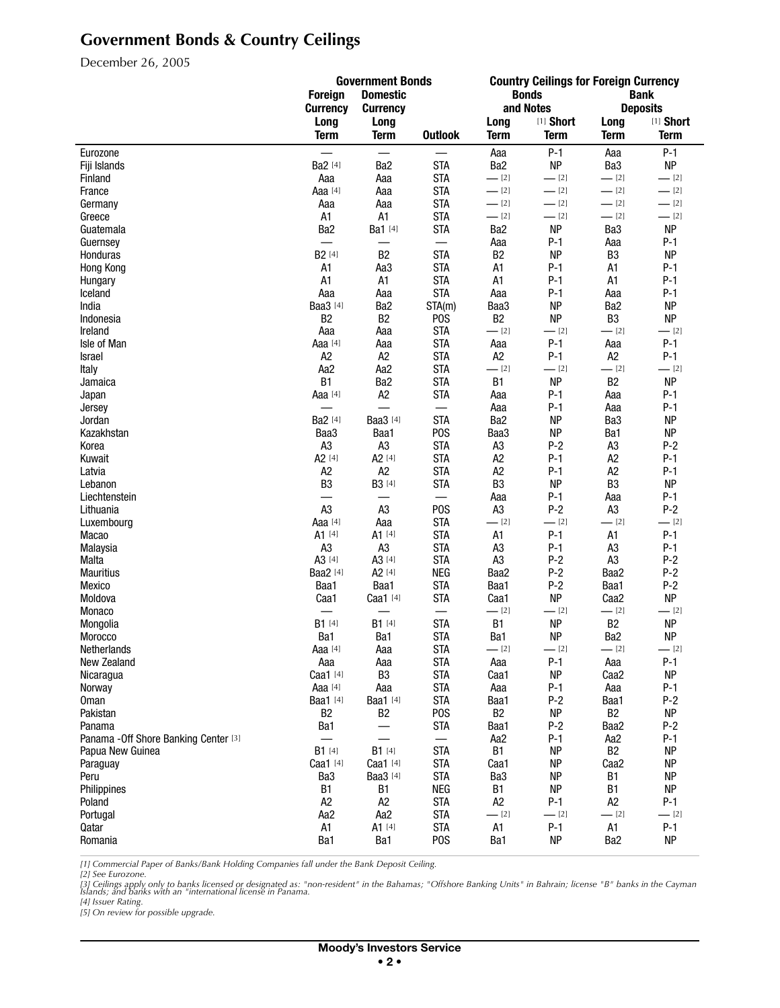# **Government Bonds & Country Ceilings**

December 26, 2005

|                                       | <b>Government Bonds</b>  |                                      | <b>Country Ceilings for Foreign Currency</b> |                                  |                |                                  |                  |
|---------------------------------------|--------------------------|--------------------------------------|----------------------------------------------|----------------------------------|----------------|----------------------------------|------------------|
|                                       | <b>Foreign</b>           | <b>Domestic</b>                      |                                              |                                  | <b>Bonds</b>   |                                  | <b>Bank</b>      |
|                                       | <b>Currency</b>          | <b>Currency</b>                      |                                              |                                  | and Notes      |                                  | <b>Deposits</b>  |
|                                       | Long                     | Long                                 |                                              | Long                             | [1] Short      | Long                             | [1] Short        |
|                                       | <b>Term</b>              | <b>Term</b>                          | <b>Outlook</b>                               | <b>Term</b>                      | <b>Term</b>    | <b>Term</b>                      | <b>Term</b>      |
| Eurozone                              |                          | $\qquad \qquad \qquad$               |                                              | Aaa                              | $P-1$          | Aaa                              | $P-1$            |
| Fiji Islands                          | Ba2 [4]                  | Ba2                                  | <b>STA</b>                                   | Ba2                              | <b>NP</b>      | Ba3                              | <b>NP</b>        |
| Finland                               | Aaa                      | Aaa                                  | <b>STA</b>                                   | $-$ [2]                          | $-$ [2]        | $-$ [2]                          | $-$ [2]          |
| France                                | Aaa [4]                  | Aaa                                  | <b>STA</b>                                   | $-$ [2]                          | $-$ [2]        | $-2$ [2]                         | $-$ [2]          |
| Germany                               | Aaa                      | Aaa                                  | <b>STA</b>                                   | $-$ [2]                          | $-$ [2]        | $-$ [2]                          | $-$ [2]          |
| Greece                                | A1                       | A1                                   | <b>STA</b>                                   | $-$ [2]                          | $-$ [2]        | $-$ [2]                          | $-$ [2]          |
| Guatemala                             | Ba2                      | Ba1 [4]                              | <b>STA</b>                                   | Ba2                              | <b>NP</b>      | Ba3                              | <b>NP</b>        |
| Guernsey                              | $\overline{\phantom{0}}$ |                                      | $\qquad \qquad$                              | Aaa                              | $P-1$          | Aaa                              | $P-1$            |
| Honduras                              | B2 [4]                   | B <sub>2</sub>                       | <b>STA</b>                                   | B <sub>2</sub>                   | <b>NP</b>      | B <sub>3</sub>                   | <b>NP</b>        |
| Hong Kong                             | A1                       | Aa3                                  | <b>STA</b>                                   | A <sub>1</sub>                   | $P-1$          | A1                               | $P-1$            |
| Hungary                               | A1                       | A1                                   | <b>STA</b>                                   | A <sub>1</sub>                   | $P-1$          | A1                               | $P-1$            |
| Iceland                               | Aaa                      | Aaa                                  | <b>STA</b>                                   | Aaa                              | $P-1$          | Aaa                              | $P-1$            |
| India                                 | Baa3 [4]                 | Ba <sub>2</sub>                      | STA(m)                                       | Baa3                             | <b>NP</b>      | Ba <sub>2</sub>                  | <b>NP</b>        |
| Indonesia                             | B <sub>2</sub>           | B <sub>2</sub>                       | P <sub>0</sub> S                             | B <sub>2</sub>                   | <b>NP</b>      | B <sub>3</sub>                   | <b>NP</b>        |
| Ireland                               | Aaa                      | Aaa                                  | <b>STA</b>                                   | $-$ [2]                          | $-$ [2]        | $-$ [2]                          | $=$ [2]          |
| Isle of Man                           | Aaa [4]                  | Aaa                                  | <b>STA</b>                                   | Aaa                              | $P-1$          | Aaa                              | $P-1$            |
| Israel                                | A <sub>2</sub>           | A2                                   | <b>STA</b>                                   | A <sub>2</sub>                   | $P-1$          | A2                               | $P-1$            |
| Italy                                 | Aa2                      | Aa2                                  | <b>STA</b>                                   | $-$ [2]                          | $-$ [2]        | $-$ [2]                          | $-$ [2]          |
| Jamaica                               | <b>B1</b>                | Ba2                                  | <b>STA</b>                                   | <b>B1</b>                        | <b>NP</b>      | B <sub>2</sub>                   | <b>NP</b>        |
|                                       | Aaa [4]                  | A2                                   | <b>STA</b>                                   |                                  | $P-1$          |                                  | $P-1$            |
| Japan                                 |                          | $\overline{\phantom{0}}$             | $\overline{\phantom{0}}$                     | Aaa                              | $P-1$          | Aaa                              | $P-1$            |
| Jersey<br>Jordan                      | Ba2 [4]                  | <b>Baa3</b> [4]                      | <b>STA</b>                                   | Aaa<br>Ba <sub>2</sub>           | <b>NP</b>      | Aaa<br>Ba3                       | <b>NP</b>        |
| Kazakhstan                            | Baa3                     |                                      | P <sub>O</sub> S                             |                                  | <b>NP</b>      | Ba1                              | <b>NP</b>        |
|                                       |                          | Baa1                                 |                                              | Baa3                             |                |                                  |                  |
| Korea<br>Kuwait                       | A <sub>3</sub><br>A2 [4] | A <sub>3</sub><br>A <sub>2</sub> [4] | <b>STA</b><br><b>STA</b>                     | A <sub>3</sub><br>A <sub>2</sub> | $P-2$<br>$P-1$ | A <sub>3</sub><br>A <sub>2</sub> | $P-2$<br>$P-1$   |
|                                       | A <sub>2</sub>           |                                      | <b>STA</b>                                   |                                  |                | A <sub>2</sub>                   |                  |
| Latvia                                |                          | A2                                   |                                              | A2                               | $P-1$          |                                  | $P-1$            |
| Lebanon                               | B <sub>3</sub>           | B3 [4]                               | <b>STA</b>                                   | B <sub>3</sub>                   | <b>NP</b>      | B <sub>3</sub>                   | <b>NP</b>        |
| Liechtenstein                         | $\overline{\phantom{0}}$ |                                      |                                              | Aaa                              | $P-1$          | Aaa                              | $P-1$            |
| Lithuania                             | A <sub>3</sub>           | A <sub>3</sub>                       | P <sub>O</sub> S                             | A <sub>3</sub>                   | $P-2$          | A <sub>3</sub>                   | $P-2$<br>$-$ [2] |
| Luxembourg                            | Aaa [4]                  | Aaa                                  | <b>STA</b>                                   | $-$ [2]                          | $-$ [2]        | $-$ [2]                          |                  |
| Macao                                 | A1 [4]                   | A1 [4]                               | <b>STA</b>                                   | A1                               | $P-1$          | A1                               | $P-1$            |
| Malaysia                              | A3                       | A3                                   | <b>STA</b>                                   | A <sub>3</sub>                   | $P-1$          | A <sub>3</sub>                   | $P-1$            |
| Malta                                 | A3 <sup>[4]</sup>        | A3 <sup>[4]</sup>                    | <b>STA</b>                                   | A <sub>3</sub>                   | $P-2$          | A <sub>3</sub>                   | $P-2$            |
| <b>Mauritius</b>                      | Baa2 [4]                 | A <sub>2</sub> [4]                   | <b>NEG</b>                                   | Baa2                             | $P-2$          | Baa2                             | $P-2$            |
| Mexico                                | Baa1                     | Baa1                                 | <b>STA</b>                                   | Baa1                             | $P-2$          | Baa1                             | $P-2$            |
| Moldova                               | Caa1                     | Caa1 [4]                             | <b>STA</b>                                   | Caa1                             | <b>NP</b>      | Caa2                             | NP               |
| Monaco                                |                          |                                      | $\overline{\phantom{0}}$                     | $-$ [2]                          | $-$ [2]        | $-2$ [2]                         | $-$ [2]          |
| Mongolia                              | B1 [4]                   | <b>B1</b> [4]                        | <b>STA</b>                                   | <b>B1</b>                        | <b>NP</b>      | B <sub>2</sub>                   | <b>NP</b>        |
| Morocco                               | Ba1                      | Ba1                                  | <b>STA</b>                                   | Ba1                              | <b>NP</b>      | Ba2<br>$-$ [2]                   | <b>NP</b>        |
| Netherlands                           | Aaa [4]                  | Aaa                                  | <b>STA</b>                                   | $-$ [2]                          | $-$ [2]        |                                  | $-$ [2]          |
| New Zealand                           | Aaa                      | Aaa                                  | <b>STA</b>                                   | Aaa                              | $P-1$          | Aaa                              | $P-1$            |
| Nicaragua                             | Caa1 [4]                 | B <sub>3</sub>                       | <b>STA</b>                                   | Caa1                             | <b>NP</b>      | Caa <sub>2</sub>                 | <b>NP</b>        |
| Norway                                | Aaa [4]                  | Aaa                                  | <b>STA</b>                                   | Aaa                              | $P-1$          | Aaa                              | P-1              |
| <b>Oman</b>                           | Baa1 [4]                 | Baa1 [4]                             | <b>STA</b>                                   | Baa1                             | $P-2$          | Baa1                             | $P-2$            |
| Pakistan                              | B <sub>2</sub>           | B <sub>2</sub>                       | P <sub>0</sub> S                             | B <sub>2</sub>                   | <b>NP</b>      | B <sub>2</sub>                   | <b>NP</b>        |
| Panama                                | Ba1                      |                                      | <b>STA</b>                                   | Baa1                             | $P-2$          | Baa2                             | $P-2$            |
| Panama - Off Shore Banking Center [3] | $\overline{\phantom{0}}$ | $\overline{\phantom{0}}$             | $\qquad \qquad$                              | Aa2                              | $P-1$          | Aa2                              | $P-1$            |
| Papua New Guinea                      | $B1^{[4]}$               | B1 [4]                               | <b>STA</b>                                   | <b>B1</b>                        | <b>NP</b>      | B <sub>2</sub>                   | <b>NP</b>        |
| Paraguay                              | Caa1 [4]                 | Caa1 [4]                             | <b>STA</b>                                   | Caa1                             | <b>NP</b>      | Caa <sub>2</sub>                 | <b>NP</b>        |
| Peru                                  | Ba3                      | Baa3 [4]                             | <b>STA</b>                                   | Ba3                              | <b>NP</b>      | <b>B1</b>                        | <b>NP</b>        |
| Philippines                           | B1                       | <b>B1</b>                            | <b>NEG</b>                                   | <b>B1</b>                        | <b>NP</b>      | B1                               | <b>NP</b>        |
| Poland                                | A <sub>2</sub>           | A <sub>2</sub>                       | <b>STA</b>                                   | A <sub>2</sub>                   | $P-1$          | A <sub>2</sub>                   | $P-1$            |
| Portugal                              | Aa2                      | Aa2                                  | <b>STA</b>                                   | $-$ [2]                          | $-$ [2]        | $-21$                            | $-$ [2]          |
| Qatar                                 | A1                       | A1 [4]                               | <b>STA</b>                                   | A1                               | $P-1$          | A1                               | $P-1$            |
| Romania                               | Ba1                      | Ba1                                  | P <sub>0</sub> S                             | Ba1                              | <b>NP</b>      | Ba <sub>2</sub>                  | <b>NP</b>        |

*[1] Commercial Paper of Banks/Bank Holding Companies fall under the Bank Deposit Ceiling.*

[2] See Eurozone.<br>[3] Ceilings apply only to banks licensed or designated as: "non-resident" in the Bahamas; "Offshore Banking Units" in Bahrain; license "B" banks in the Cayman<br>Islands; and banks with an "international li

*[4] Issuer Rating. [5] On review for possible upgrade.*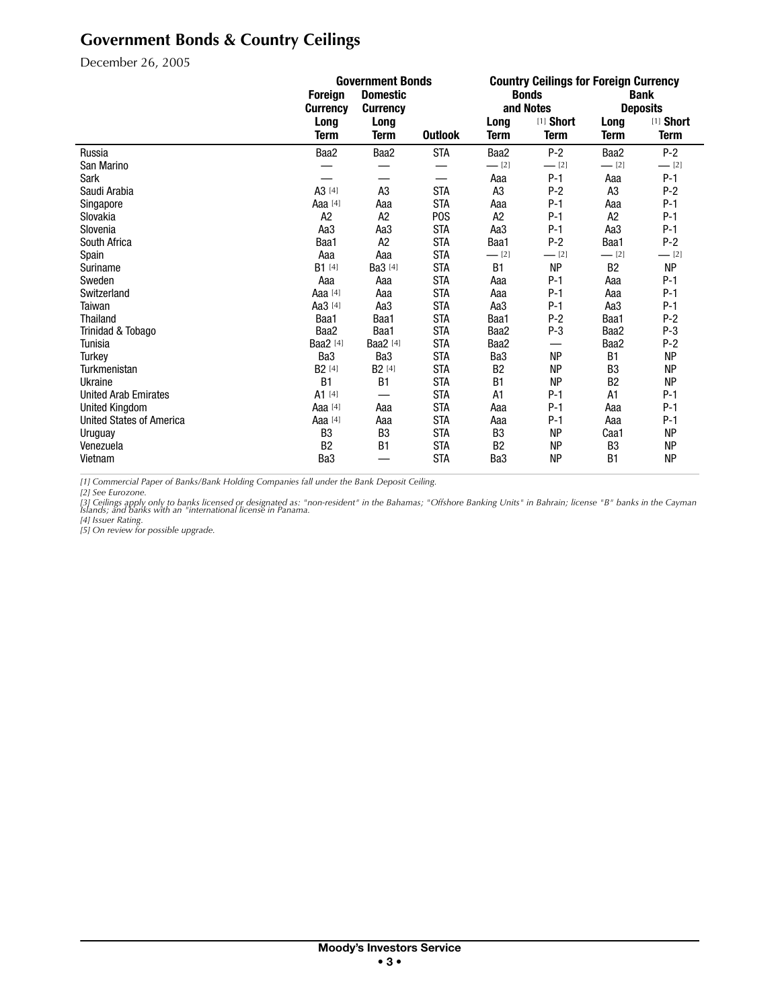# **Government Bonds & Country Ceilings**

December 26, 2005

|                                 | <b>Government Bonds</b>            |                    |                  | <b>Country Ceilings for Foreign Currency</b> |                 |                |             |
|---------------------------------|------------------------------------|--------------------|------------------|----------------------------------------------|-----------------|----------------|-------------|
|                                 | <b>Domestic</b><br><b>Foreign</b>  |                    |                  |                                              | <b>Bonds</b>    |                | <b>Bank</b> |
|                                 | <b>Currency</b><br><b>Currency</b> |                    | and Notes        |                                              | <b>Deposits</b> |                |             |
|                                 | Long                               | Long               |                  | Long                                         | [1] Short       | Long           | [1] Short   |
|                                 | <b>Term</b>                        | <b>Term</b>        | <b>Outlook</b>   | <b>Term</b>                                  | <b>Term</b>     | <b>Term</b>    | <b>Term</b> |
| Russia                          | Baa2                               | Baa2               | <b>STA</b>       | Baa2                                         | $P-2$           | Baa2           | $P-2$       |
| San Marino                      |                                    |                    |                  | $-$ [2]                                      | $-$ [2]         | $-$ [2]        | $-$ [2]     |
| Sark                            |                                    |                    | —                | Aaa                                          | $P-1$           | Aaa            | $P-1$       |
| Saudi Arabia                    | A3 [4]                             | A <sub>3</sub>     | <b>STA</b>       | A <sub>3</sub>                               | $P-2$           | A <sub>3</sub> | $P-2$       |
| Singapore                       | Aaa [4]                            | Aaa                | <b>STA</b>       | Aaa                                          | $P-1$           | Aaa            | $P-1$       |
| Slovakia                        | A <sub>2</sub>                     | A <sub>2</sub>     | P <sub>0</sub> S | A <sub>2</sub>                               | $P-1$           | A <sub>2</sub> | $P-1$       |
| Slovenia                        | Aa3                                | Aa3                | <b>STA</b>       | Aa3                                          | $P-1$           | Aa3            | $P-1$       |
| South Africa                    | Baa1                               | A2                 | <b>STA</b>       | Baa1                                         | $P-2$           | Baa1           | $P-2$       |
| Spain                           | Aaa                                | Aaa                | <b>STA</b>       | $-$ [2]                                      | $-$ [2]         | $-$ [2]        | $-$ [2]     |
| Suriname                        | $B1$ [4]                           | Ba3 [4]            | <b>STA</b>       | <b>B1</b>                                    | <b>NP</b>       | <b>B2</b>      | <b>NP</b>   |
| Sweden                          | Aaa                                | Aaa                | <b>STA</b>       | Aaa                                          | $P-1$           | Aaa            | $P-1$       |
| Switzerland                     | Aaa <sup>[4]</sup>                 | Aaa                | <b>STA</b>       | Aaa                                          | $P-1$           | Aaa            | $P-1$       |
| Taiwan                          | Aa3 [4]                            | Aa3                | <b>STA</b>       | Aa3                                          | $P-1$           | Aa3            | $P-1$       |
| <b>Thailand</b>                 | Baa1                               | Baa1               | <b>STA</b>       | Baa1                                         | $P-2$           | Baa1           | $P-2$       |
| Trinidad & Tobago               | Baa2                               | Baa1               | <b>STA</b>       | Baa2                                         | $P-3$           | Baa2           | $P-3$       |
| Tunisia                         | Baa2 [4]                           | <b>Baa2</b> [4]    | <b>STA</b>       | Baa2                                         |                 | Baa2           | $P-2$       |
| Turkey                          | Ba3                                | Ba3                | <b>STA</b>       | Ba <sub>3</sub>                              | <b>NP</b>       | <b>B1</b>      | <b>NP</b>   |
| Turkmenistan                    | B <sub>2</sub> [4]                 | B <sub>2</sub> [4] | <b>STA</b>       | B <sub>2</sub>                               | <b>NP</b>       | B <sub>3</sub> | <b>NP</b>   |
| Ukraine                         | B <sub>1</sub>                     | B <sub>1</sub>     | <b>STA</b>       | <b>B1</b>                                    | <b>NP</b>       | B <sub>2</sub> | <b>NP</b>   |
| <b>United Arab Emirates</b>     | $A1$ [4]                           |                    | <b>STA</b>       | A1                                           | $P-1$           | A1             | $P-1$       |
| <b>United Kingdom</b>           | Aaa <sup>[4]</sup>                 | Aaa                | <b>STA</b>       | Aaa                                          | $P-1$           | Aaa            | $P-1$       |
| <b>United States of America</b> | Aaa [4]                            | Aaa                | <b>STA</b>       | Aaa                                          | $P-1$           | Aaa            | $P-1$       |
| Uruguay                         | B <sub>3</sub>                     | B <sub>3</sub>     | <b>STA</b>       | B <sub>3</sub>                               | <b>NP</b>       | Caa1           | <b>NP</b>   |
| Venezuela                       | B <sub>2</sub>                     | <b>B1</b>          | <b>STA</b>       | B <sub>2</sub>                               | <b>NP</b>       | B <sub>3</sub> | <b>NP</b>   |
| Vietnam                         | Ba3                                |                    | <b>STA</b>       | Ba <sub>3</sub>                              | <b>NP</b>       | <b>B1</b>      | <b>NP</b>   |

*[1] Commercial Paper of Banks/Bank Holding Companies fall under the Bank Deposit Ceiling.*

*[2] See Eurozone.*

[3] Ceilings apply only to banks licensed or designated as: "non-resident" in the Bahamas; "Offshore Banking Units" in Bahrain; license "B" banks in the Cayman<br>Islands; and banks with an "international license in Panama.<br>[

*[5] On review for possible upgrade.*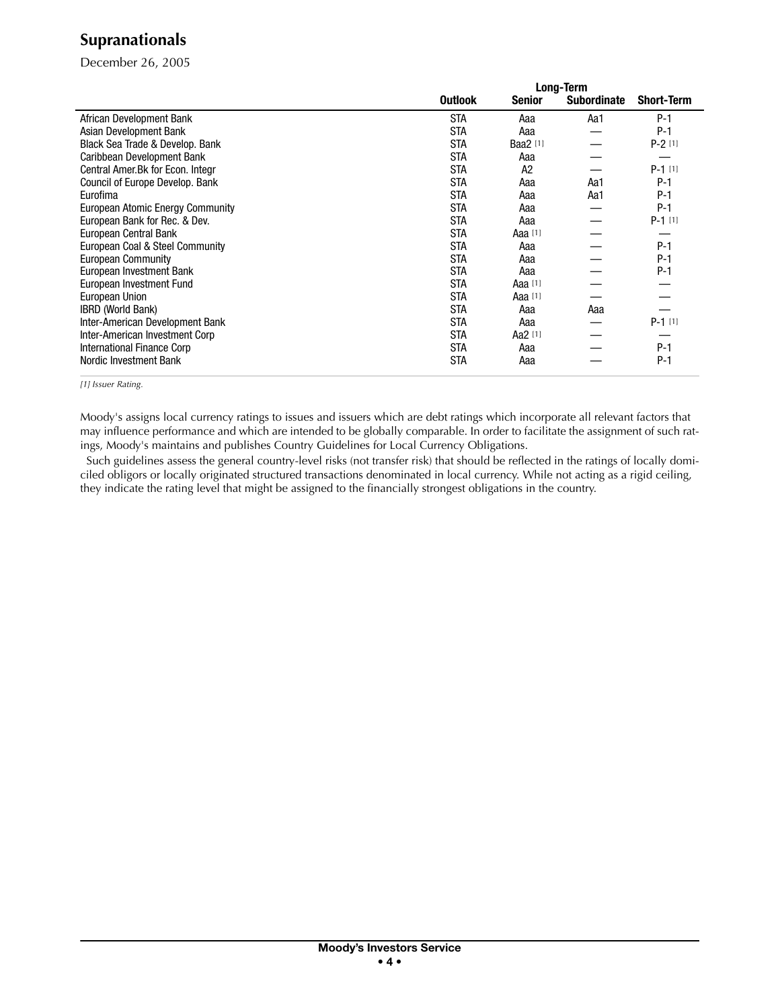### **Supranationals**

December 26, 2005

|                                   | <b>Long-Term</b> |           |                    |                   |
|-----------------------------------|------------------|-----------|--------------------|-------------------|
|                                   | <b>Outlook</b>   | Senior    | <b>Subordinate</b> | <b>Short-Term</b> |
| African Development Bank          | <b>STA</b>       | Aaa       | Aa1                | $P-1$             |
| Asian Development Bank            | <b>STA</b>       | Aaa       |                    | $P-1$             |
| Black Sea Trade & Develop. Bank   | <b>STA</b>       | Baa2 [1]  |                    | $P-2[1]$          |
| Caribbean Development Bank        | <b>STA</b>       | Aaa       |                    |                   |
| Central Amer. Bk for Econ. Integr | <b>STA</b>       | A2        |                    | $P-1$ [1]         |
| Council of Europe Develop. Bank   | <b>STA</b>       | Aaa       | Aa1                | $P-1$             |
| Eurofima                          | <b>STA</b>       | Aaa       | Aa1                | $P-1$             |
| European Atomic Energy Community  | <b>STA</b>       | Aaa       |                    | $P-1$             |
| European Bank for Rec. & Dev.     | <b>STA</b>       | Aaa       |                    | $P-1$ [1]         |
| European Central Bank             | <b>STA</b>       | Aaa [1]   |                    |                   |
| European Coal & Steel Community   | <b>STA</b>       | Aaa       |                    | $P-1$             |
| <b>European Community</b>         | <b>STA</b>       | Aaa       |                    | $P-1$             |
| European Investment Bank          | <b>STA</b>       | Aaa       |                    | $P-1$             |
| European Investment Fund          | <b>STA</b>       | Aaa $[1]$ |                    |                   |
| <b>European Union</b>             | <b>STA</b>       | Aaa [1]   |                    |                   |
| <b>IBRD (World Bank)</b>          | <b>STA</b>       | Aaa       | Aaa                |                   |
| Inter-American Development Bank   | <b>STA</b>       | Aaa       |                    | $P-1$ [1]         |
| Inter-American Investment Corp    | <b>STA</b>       | Aa2 [1]   |                    |                   |
| International Finance Corp        | <b>STA</b>       | Aaa       |                    | $P-1$             |
| Nordic Investment Bank            | <b>STA</b>       | Aaa       |                    | $P-1$             |

*[1] Issuer Rating.*

Moody's assigns local currency ratings to issues and issuers which are debt ratings which incorporate all relevant factors that may influence performance and which are intended to be globally comparable. In order to facilitate the assignment of such ratings, Moody's maintains and publishes Country Guidelines for Local Currency Obligations.

 Such guidelines assess the general country-level risks (not transfer risk) that should be reflected in the ratings of locally domiciled obligors or locally originated structured transactions denominated in local currency. While not acting as a rigid ceiling, they indicate the rating level that might be assigned to the financially strongest obligations in the country.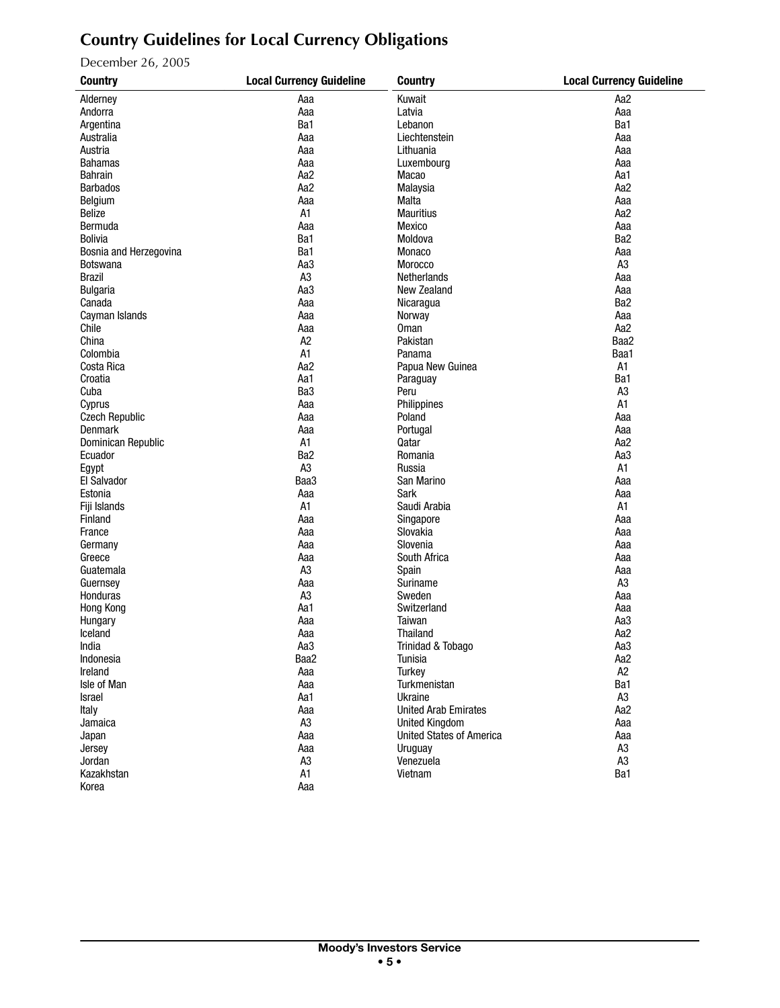# **Country Guidelines for Local Currency Obligations**

December 26, 2005

| <b>Country</b>         | <b>Local Currency Guideline</b> | <b>Country</b>                      | <b>Local Currency Guideline</b> |
|------------------------|---------------------------------|-------------------------------------|---------------------------------|
| Alderney               | Aaa                             | Kuwait                              | Aa <sub>2</sub>                 |
| Andorra                | Aaa                             | Latvia                              | Aaa                             |
| Argentina              | Ba1                             | Lebanon                             | Ba1                             |
| Australia              | Aaa                             | Liechtenstein                       | Aaa                             |
| Austria                | Aaa                             | Lithuania                           | Aaa                             |
| <b>Bahamas</b>         | Aaa                             | Luxembourg                          | Aaa                             |
| <b>Bahrain</b>         | Aa2                             | Macao                               | Aa1                             |
| <b>Barbados</b>        | Aa <sub>2</sub>                 | Malaysia                            | Aa2                             |
| Belgium                | Aaa                             | Malta                               | Aaa                             |
| Belize                 | A1                              | <b>Mauritius</b>                    | Aa2                             |
| Bermuda                | Aaa                             | Mexico                              | Aaa                             |
| <b>Bolivia</b>         | Ba1                             | Moldova                             | Ba <sub>2</sub>                 |
| Bosnia and Herzegovina | Ba1                             | Monaco                              | Aaa                             |
| <b>Botswana</b>        | Aa3                             | Morocco                             | A <sub>3</sub>                  |
| <b>Brazil</b>          | A <sub>3</sub>                  | Netherlands                         | Aaa                             |
|                        |                                 |                                     |                                 |
| <b>Bulgaria</b>        | Aa3                             | New Zealand                         | Aaa                             |
| Canada                 | Aaa                             | Nicaragua                           | Ba <sub>2</sub>                 |
| Cayman Islands         | Aaa                             | Norway                              | Aaa                             |
| Chile                  | Aaa                             | <b>Oman</b>                         | Aa2                             |
| China                  | A <sub>2</sub>                  | Pakistan                            | Baa2                            |
| Colombia               | A1                              | Panama                              | Baa1                            |
| Costa Rica             | Aa2                             | Papua New Guinea                    | A1                              |
| Croatia                | Aa1                             | Paraguay                            | Ba1                             |
| Cuba                   | Ba3                             | Peru                                | A <sub>3</sub>                  |
| Cyprus                 | Aaa                             | Philippines                         | A1                              |
| <b>Czech Republic</b>  | Aaa                             | Poland                              | Aaa                             |
| <b>Denmark</b>         | Aaa                             | Portugal                            | Aaa                             |
| Dominican Republic     | A1                              | Qatar                               | Aa2                             |
| Ecuador                | Ba <sub>2</sub>                 | Romania                             | Aa3                             |
| Egypt                  | A3                              | Russia                              | A1                              |
| El Salvador            | Baa3                            | San Marino                          | Aaa                             |
| Estonia                | Aaa                             | Sark                                | Aaa                             |
| Fiji Islands           | A1                              | Saudi Arabia                        | A1                              |
| Finland                | Aaa                             | Singapore                           | Aaa                             |
| France                 | Aaa                             | Slovakia                            | Aaa                             |
| Germany                | Aaa                             | Slovenia                            | Aaa                             |
| Greece                 | Aaa                             | South Africa                        | Aaa                             |
| Guatemala              | A3                              | Spain                               | Aaa                             |
| Guernsey               | Aaa                             | Suriname                            | A <sub>3</sub>                  |
| Honduras               | A <sub>3</sub>                  | Sweden                              | Aaa                             |
| Hong Kong              | Aa1                             | Switzerland                         | Aaa                             |
| Hungary                | Aaa                             | Taiwan                              | Aa3                             |
| Iceland                | Aaa                             | Thailand                            | Aa2                             |
|                        |                                 |                                     |                                 |
| India<br>Indonesia     | Aa3<br>Baa2                     | Trinidad & Tobago<br><b>Tunisia</b> | Aa3<br>Aa2                      |
| Ireland                |                                 |                                     | A <sub>2</sub>                  |
|                        | Aaa                             | Turkey                              |                                 |
| Isle of Man            | Aaa                             | Turkmenistan                        | Ba1                             |
| Israel                 | Aa1                             | Ukraine                             | A <sub>3</sub>                  |
| Italy                  | Aaa                             | <b>United Arab Emirates</b>         | Aa2                             |
| Jamaica                | A <sub>3</sub>                  | <b>United Kingdom</b>               | Aaa                             |
| Japan                  | Aaa                             | <b>United States of America</b>     | Aaa                             |
| Jersey                 | Aaa                             | Uruguay                             | A <sub>3</sub>                  |
| Jordan                 | A <sub>3</sub>                  | Venezuela                           | A <sub>3</sub>                  |
| Kazakhstan             | A1                              | Vietnam                             | Ba1                             |
| Korea                  | Aaa                             |                                     |                                 |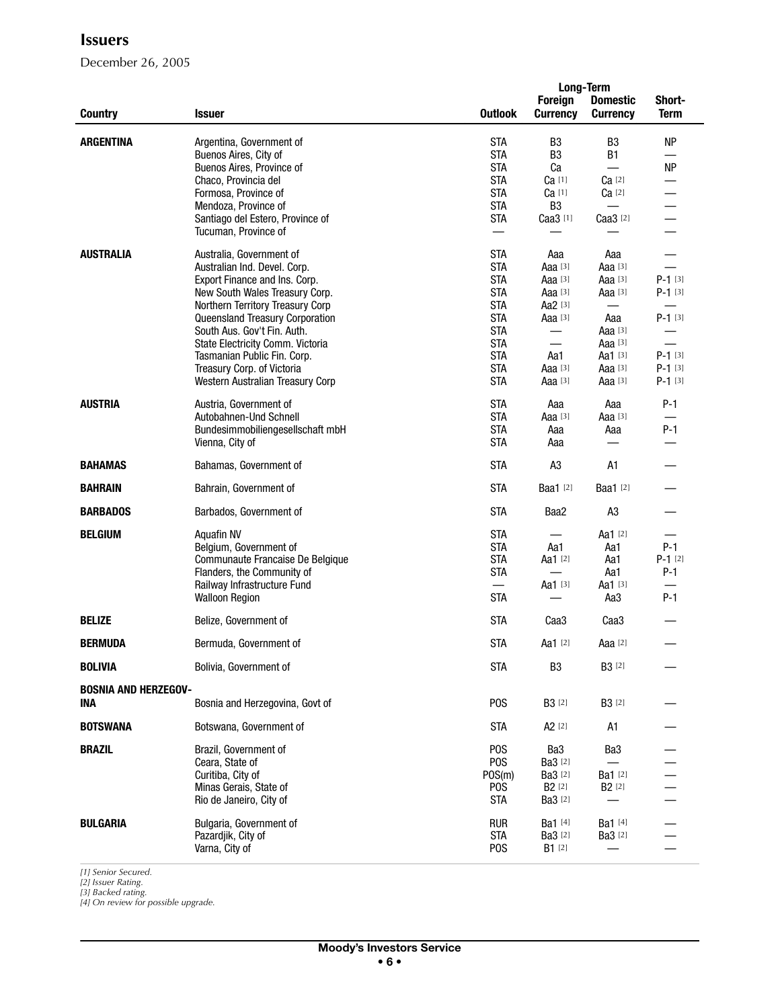December 26, 2005

|                             |                                  |                  |                                   | <b>Long-Term</b>                   |                       |
|-----------------------------|----------------------------------|------------------|-----------------------------------|------------------------------------|-----------------------|
| <b>Country</b>              | <b>Issuer</b>                    | <b>Outlook</b>   | <b>Foreign</b><br><b>Currency</b> | <b>Domestic</b><br><b>Currency</b> | Short-<br><b>Term</b> |
| <b>ARGENTINA</b>            | Argentina, Government of         | <b>STA</b>       | B <sub>3</sub>                    | B <sub>3</sub>                     | <b>NP</b>             |
|                             |                                  | <b>STA</b>       | B <sub>3</sub>                    | <b>B1</b>                          |                       |
|                             | Buenos Aires, City of            |                  |                                   |                                    |                       |
|                             | Buenos Aires, Province of        | <b>STA</b>       | Ca                                |                                    | <b>NP</b>             |
|                             | Chaco, Provincia del             | <b>STA</b>       | Ca [1]                            | Ca [2]                             |                       |
|                             | Formosa, Province of             | <b>STA</b>       | Ca [1]                            | $Ca$ [2]                           |                       |
|                             | Mendoza, Province of             | <b>STA</b>       | B <sub>3</sub>                    |                                    |                       |
|                             | Santiago del Estero, Province of | <b>STA</b>       | Caa3 [1]                          | Caa3 [2]                           |                       |
|                             | Tucuman, Province of             |                  |                                   |                                    |                       |
| <b>AUSTRALIA</b>            | Australia, Government of         | <b>STA</b>       | Aaa                               | Aaa                                |                       |
|                             | Australian Ind. Devel. Corp.     | <b>STA</b>       | Aaa [3]                           | Aaa [3]                            |                       |
|                             | Export Finance and Ins. Corp.    | <b>STA</b>       | Aaa [3]                           | Aaa [3]                            | $P-1$ [3]             |
|                             | New South Wales Treasury Corp.   | <b>STA</b>       | Aaa [3]                           | Aaa [3]                            | $P-1$ [3]             |
|                             | Northern Territory Treasury Corp | <b>STA</b>       | Aa2 [3]                           |                                    |                       |
|                             | Queensland Treasury Corporation  | <b>STA</b>       | Aaa [3]                           | Aaa                                | $P-1$ [3]             |
|                             | South Aus. Gov't Fin. Auth.      | <b>STA</b>       |                                   | Aaa [3]                            |                       |
|                             | State Electricity Comm. Victoria | <b>STA</b>       |                                   | Aaa [3]                            |                       |
|                             | Tasmanian Public Fin. Corp.      | <b>STA</b>       | Aa1                               | Aa1 [3]                            | $P-1$ [3]             |
|                             |                                  | <b>STA</b>       |                                   | Aaa [3]                            | $P-1$ [3]             |
|                             | Treasury Corp. of Victoria       | <b>STA</b>       | Aaa [3]                           |                                    |                       |
|                             | Western Australian Treasury Corp |                  | Aaa [3]                           | Aaa [3]                            | $P-1$ [3]             |
| <b>AUSTRIA</b>              | Austria, Government of           | <b>STA</b>       | Aaa                               | Aaa                                | $P-1$                 |
|                             | Autobahnen-Und Schnell           | <b>STA</b>       | Aaa [3]                           | Aaa [3]                            |                       |
|                             | Bundesimmobiliengesellschaft mbH | <b>STA</b>       | Aaa                               | Aaa                                | $P-1$                 |
|                             | Vienna, City of                  | <b>STA</b>       | Aaa                               |                                    |                       |
| <b>BAHAMAS</b>              | Bahamas, Government of           | <b>STA</b>       | A <sub>3</sub>                    | A1                                 |                       |
| <b>BAHRAIN</b>              | Bahrain, Government of           | <b>STA</b>       | Baa1 [2]                          | <b>Baa1</b> [2]                    |                       |
| <b>BARBADOS</b>             | Barbados, Government of          | <b>STA</b>       | Baa2                              | A <sub>3</sub>                     |                       |
| <b>BELGIUM</b>              | <b>Aquafin NV</b>                | <b>STA</b>       |                                   | Aa1 [2]                            |                       |
|                             | Belgium, Government of           | <b>STA</b>       | Aa1                               | Aa1                                | $P-1$                 |
|                             | Communaute Francaise De Belgique | <b>STA</b>       | Aa1 [2]                           | Aa1                                | $P-1$ [2]             |
|                             | Flanders, the Community of       | <b>STA</b>       |                                   | Aa1                                | $P-1$                 |
|                             | Railway Infrastructure Fund      | $\equiv$         | Aa1 [3]                           | Aa1 [3]                            |                       |
|                             | <b>Walloon Region</b>            | <b>STA</b>       |                                   | Aa3                                | $P-1$                 |
|                             |                                  |                  |                                   |                                    |                       |
| <b>BELIZE</b>               | Belize, Government of            | <b>STA</b>       | Caa <sub>3</sub>                  | Caa <sub>3</sub>                   |                       |
| <b>BERMUDA</b>              | Bermuda, Government of           | <b>STA</b>       | Aa1 [2]                           | Aaa [2]                            |                       |
| <b>BOLIVIA</b>              | Bolivia, Government of           | <b>STA</b>       | B <sub>3</sub>                    | <b>B3</b> [2]                      |                       |
| <b>BOSNIA AND HERZEGOV-</b> |                                  |                  |                                   |                                    |                       |
| <b>INA</b>                  | Bosnia and Herzegovina, Govt of  | P <sub>0</sub> S | <b>B3</b> [2]                     | <b>B3</b> [2]                      |                       |
| <b>BOTSWANA</b>             | Botswana, Government of          | <b>STA</b>       | A <sub>2</sub> [2]                | A1                                 |                       |
| <b>BRAZIL</b>               | Brazil, Government of            | P <sub>O</sub> S | Ba3                               | Ba3                                |                       |
|                             | Ceara, State of                  | P <sub>O</sub> S | Ba3 [2]                           |                                    |                       |
|                             | Curitiba, City of                | POS(m)           | Ba3 [2]                           | Ba1 [2]                            |                       |
|                             | Minas Gerais, State of           | P <sub>0</sub> S | <b>B2</b> [2]                     | B <sub>2</sub> [2]                 |                       |
|                             | Rio de Janeiro, City of          | <b>STA</b>       | Ba3 [2]                           |                                    |                       |
|                             |                                  |                  |                                   |                                    |                       |
| <b>BULGARIA</b>             | Bulgaria, Government of          | <b>RUR</b>       | Ba1 [4]                           | Ba1 [4]                            |                       |
|                             | Pazardjik, City of               | <b>STA</b>       | Ba3 [2]                           | <b>Ba3</b> [2]                     |                       |
|                             | Varna, City of                   | P <sub>O</sub> S | <b>B1</b> [2]                     |                                    |                       |
|                             |                                  |                  |                                   |                                    |                       |

*[1] Senior Secured. [2] Issuer Rating.*

*[3] Backed rating. [4] On review for possible upgrade.*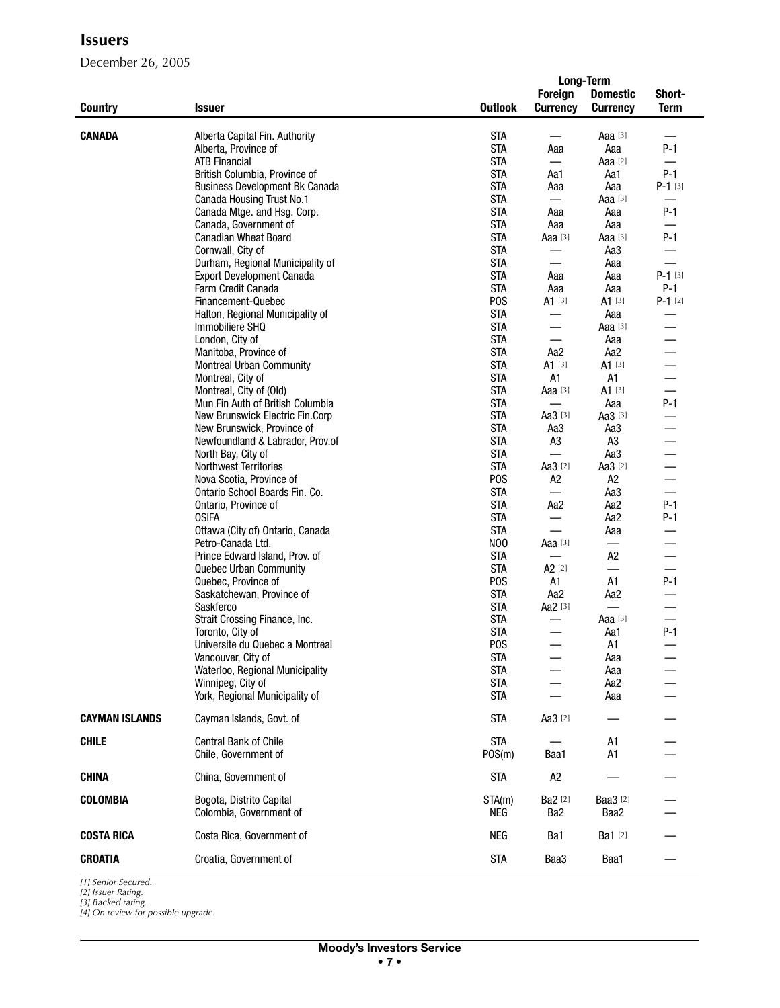December 26, 2005

|                       |                                       |                  |                          | <b>Long-Term</b> |             |
|-----------------------|---------------------------------------|------------------|--------------------------|------------------|-------------|
|                       |                                       |                  | <b>Foreign</b>           | <b>Domestic</b>  | Short-      |
| <b>Country</b>        | <b>Issuer</b>                         | <b>Outlook</b>   | <b>Currency</b>          | <b>Currency</b>  | <b>Term</b> |
|                       |                                       |                  |                          |                  |             |
| <b>CANADA</b>         | Alberta Capital Fin. Authority        | <b>STA</b>       |                          | Aaa $[3]$        |             |
|                       | Alberta, Province of                  | <b>STA</b>       | Aaa                      | Aaa              | $P-1$       |
|                       | <b>ATB Financial</b>                  | <b>STA</b>       | $\equiv$                 | Aaa [2]          | —           |
|                       | British Columbia, Province of         | <b>STA</b>       | Aa1                      | Aa1              | $P-1$       |
|                       | <b>Business Development Bk Canada</b> | <b>STA</b>       | Aaa                      | Aaa              | $P-1$ [3]   |
|                       | Canada Housing Trust No.1             | <b>STA</b>       | $\qquad \qquad$          | Aaa [3]          |             |
|                       | Canada Mtge. and Hsg. Corp.           | <b>STA</b>       | Aaa                      | Aaa              | $P-1$       |
|                       | Canada, Government of                 | <b>STA</b>       | Aaa                      | Aaa              |             |
|                       | <b>Canadian Wheat Board</b>           | <b>STA</b>       | Aaa [3]                  | Aaa [3]          | $P-1$       |
|                       | Cornwall, City of                     | <b>STA</b>       |                          | Aa3              |             |
|                       | Durham, Regional Municipality of      | <b>STA</b>       |                          | Aaa              |             |
|                       | <b>Export Development Canada</b>      | <b>STA</b>       | Aaa                      | Aaa              | $P-1$ [3]   |
|                       | Farm Credit Canada                    | <b>STA</b>       | Aaa                      | Aaa              | $P-1$       |
|                       | Financement-Quebec                    | P <sub>0</sub> S | A1 [3]                   | $A1$ [3]         | $P-1$ [2]   |
|                       |                                       | <b>STA</b>       |                          |                  |             |
|                       | Halton, Regional Municipality of      | <b>STA</b>       |                          | Aaa              |             |
|                       | Immobiliere SHQ                       |                  |                          | Aaa $[3]$        |             |
|                       | London, City of                       | <b>STA</b>       | $\qquad \qquad$          | Aaa              |             |
|                       | Manitoba, Province of                 | <b>STA</b>       | Aa2                      | Aa2              |             |
|                       | <b>Montreal Urban Community</b>       | <b>STA</b>       | $A1$ [3]                 | $A1$ [3]         |             |
|                       | Montreal, City of                     | <b>STA</b>       | A1                       | A1               |             |
|                       | Montreal, City of (Old)               | <b>STA</b>       | Aaa [3]                  | $A1^{[3]}$       |             |
|                       | Mun Fin Auth of British Columbia      | <b>STA</b>       | $\overline{\phantom{0}}$ | Aaa              | $P-1$       |
|                       | New Brunswick Electric Fin.Corp       | <b>STA</b>       | Aa $3[3]$                | Aa3 [3]          |             |
|                       | New Brunswick, Province of            | <b>STA</b>       | Aa3                      | Aa3              |             |
|                       | Newfoundland & Labrador, Prov.of      | <b>STA</b>       | A3                       | A <sub>3</sub>   |             |
|                       | North Bay, City of                    | <b>STA</b>       |                          | Aa3              |             |
|                       | Northwest Territories                 | <b>STA</b>       | Aa3 [2]                  | Aa3 [2]          |             |
|                       | Nova Scotia, Province of              | P <sub>O</sub> S | A2                       | A <sub>2</sub>   |             |
|                       | Ontario School Boards Fin. Co.        | <b>STA</b>       |                          | Aa3              |             |
|                       | Ontario, Province of                  | <b>STA</b>       | Aa2                      | Aa2              | $P-1$       |
|                       | <b>OSIFA</b>                          | <b>STA</b>       | $\qquad \qquad$          | Aa2              | P-1         |
|                       | Ottawa (City of) Ontario, Canada      | <b>STA</b>       |                          | Aaa              |             |
|                       | Petro-Canada Ltd.                     | N <sub>0</sub>   | Aaa [3]                  | $\qquad \qquad$  |             |
|                       | Prince Edward Island, Prov. of        | <b>STA</b>       |                          | A <sub>2</sub>   |             |
|                       | Quebec Urban Community                | <b>STA</b>       | A <sub>2</sub> [2]       | $\qquad \qquad$  |             |
|                       | Quebec, Province of                   | P <sub>0</sub> S | A1                       | A1               | $P-1$       |
|                       | Saskatchewan, Province of             | <b>STA</b>       | Aa2                      | Aa2              |             |
|                       | Saskferco                             | <b>STA</b>       | Aa2 [3]                  |                  |             |
|                       | Strait Crossing Finance, Inc.         | <b>STA</b>       |                          | Aaa [3]          |             |
|                       | Toronto, City of                      | <b>STA</b>       |                          | Aa1              | $P-1$       |
|                       | Universite du Quebec a Montreal       | P <sub>O</sub> S |                          | A <sub>1</sub>   |             |
|                       | Vancouver, City of                    | <b>STA</b>       |                          | Aaa              |             |
|                       | Waterloo, Regional Municipality       | <b>STA</b>       |                          | Aaa              |             |
|                       | Winnipeg, City of                     | <b>STA</b>       |                          | Aa2              |             |
|                       | York, Regional Municipality of        | <b>STA</b>       |                          | Aaa              |             |
|                       |                                       |                  |                          |                  |             |
| <b>CAYMAN ISLANDS</b> | Cayman Islands, Govt. of              | <b>STA</b>       | Aa3 [2]                  |                  |             |
|                       |                                       |                  |                          |                  |             |
| <b>CHILE</b>          | Central Bank of Chile                 | <b>STA</b>       |                          | A1               |             |
|                       | Chile, Government of                  | POS(m)           | Baa1                     | A1               |             |
| <b>CHINA</b>          | China, Government of                  | <b>STA</b>       | A2                       |                  |             |
|                       |                                       |                  |                          |                  |             |
| <b>COLOMBIA</b>       | Bogota, Distrito Capital              | STA(m)           | Ba2 [2]                  | Baa3 [2]         |             |
|                       | Colombia, Government of               | NEG              | Ba2                      | Baa2             |             |
| <b>COSTA RICA</b>     | Costa Rica, Government of             | NEG              | Ba1                      | Ba1 [2]          |             |
|                       |                                       |                  |                          |                  |             |
| <b>CROATIA</b>        | Croatia, Government of                | <b>STA</b>       | Baa3                     | Baa1             |             |

*[1] Senior Secured.*

*[2] Issuer Rating. [3] Backed rating. [4] On review for possible upgrade.*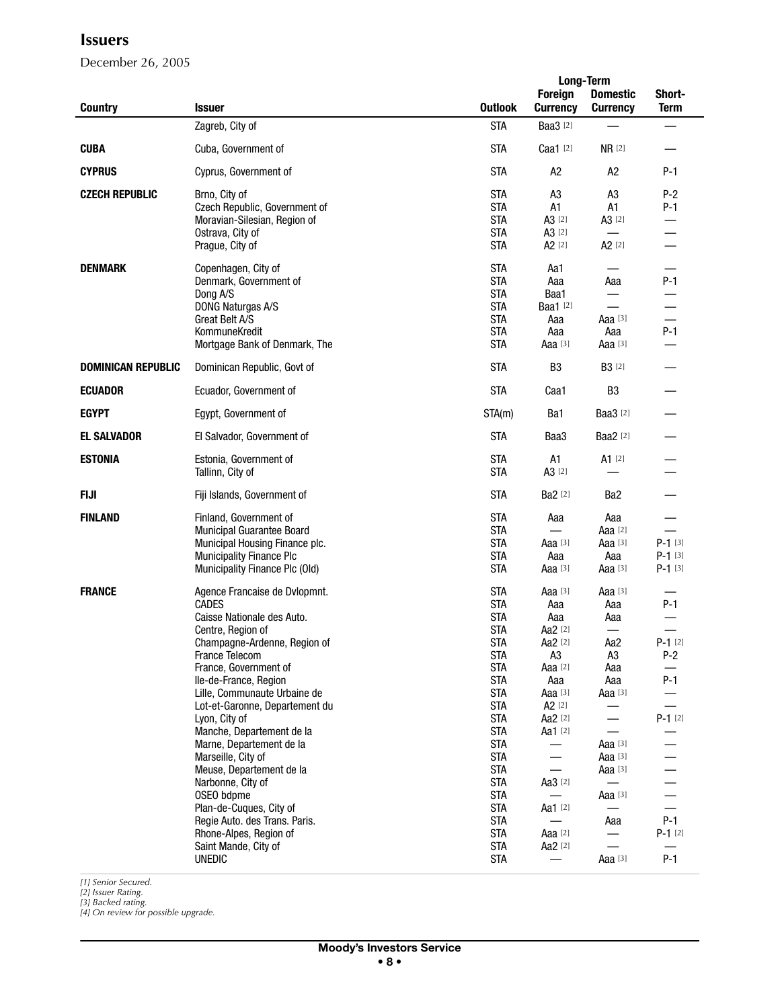December 26, 2005

|                           |                                                |                          |                                   | <b>Long-Term</b>                   |                          |
|---------------------------|------------------------------------------------|--------------------------|-----------------------------------|------------------------------------|--------------------------|
| <b>Country</b>            | <b>Issuer</b>                                  | <b>Outlook</b>           | <b>Foreign</b><br><b>Currency</b> | <b>Domestic</b><br><b>Currency</b> | Short-<br><b>Term</b>    |
|                           | Zagreb, City of                                | <b>STA</b>               | <b>Baa3</b> [2]                   |                                    |                          |
| <b>CUBA</b>               | Cuba, Government of                            | <b>STA</b>               | Caa1 [2]                          | <b>NR</b> [2]                      |                          |
| <b>CYPRUS</b>             | Cyprus, Government of                          | <b>STA</b>               | A <sub>2</sub>                    | A <sub>2</sub>                     | $P-1$                    |
| <b>CZECH REPUBLIC</b>     | Brno, City of                                  | <b>STA</b>               | A <sub>3</sub>                    | A <sub>3</sub>                     | $P-2$                    |
|                           | Czech Republic, Government of                  | <b>STA</b>               | A1                                | A1                                 | $P-1$                    |
|                           | Moravian-Silesian, Region of                   | <b>STA</b>               | A3 [2]                            | A3 [2]                             |                          |
|                           | Ostrava, City of                               | <b>STA</b>               | A3 [2]                            | $\overline{\phantom{0}}$           |                          |
|                           | Prague, City of                                | <b>STA</b>               | A <sub>2</sub> [2]                | A <sub>2</sub> [2]                 |                          |
| <b>DENMARK</b>            | Copenhagen, City of                            | <b>STA</b>               | Aa1                               |                                    |                          |
|                           | Denmark, Government of                         | <b>STA</b>               | Aaa                               | Aaa                                | $P-1$                    |
|                           | Dong A/S                                       | <b>STA</b>               | Baa1                              |                                    |                          |
|                           | DONG Naturgas A/S                              | <b>STA</b>               | Baa1 [2]                          |                                    | —                        |
|                           | Great Belt A/S                                 | <b>STA</b>               | Aaa                               | Aaa $[3]$                          |                          |
|                           | KommuneKredit                                  | <b>STA</b>               | Aaa                               | Aaa                                | $P-1$                    |
|                           | Mortgage Bank of Denmark, The                  | <b>STA</b>               | Aaa [3]                           | Aaa [3]                            |                          |
| <b>DOMINICAN REPUBLIC</b> | Dominican Republic, Govt of                    | <b>STA</b>               | B <sub>3</sub>                    | <b>B3</b> [2]                      |                          |
| <b>ECUADOR</b>            | Ecuador, Government of                         | <b>STA</b>               | Caa1                              | B <sub>3</sub>                     |                          |
| <b>EGYPT</b>              | Egypt, Government of                           | STA(m)                   | Ba1                               | <b>Baa3</b> [2]                    |                          |
| <b>EL SALVADOR</b>        | El Salvador, Government of                     | <b>STA</b>               | Baa3                              | Baa2 [2]                           |                          |
| <b>ESTONIA</b>            | Estonia, Government of<br>Tallinn, City of     | <b>STA</b><br><b>STA</b> | A1<br>A3 [2]                      | A1 [2]                             |                          |
| <b>FIJI</b>               | Fiji Islands, Government of                    | <b>STA</b>               | <b>Ba2</b> [2]                    | Ba <sub>2</sub>                    |                          |
| <b>FINLAND</b>            | Finland, Government of                         | <b>STA</b>               | Aaa                               | Aaa                                |                          |
|                           | Municipal Guarantee Board                      | <b>STA</b>               |                                   | Aaa [2]                            |                          |
|                           | Municipal Housing Finance plc.                 | <b>STA</b>               | Aaa [3]                           | Aaa <sup>[3]</sup>                 | $P-1$ [3]                |
|                           | <b>Municipality Finance Plc</b>                | <b>STA</b>               | Aaa                               | Aaa                                | $P-1$ [3]                |
|                           | Municipality Finance Plc (Old)                 | <b>STA</b>               | Aaa $[3]$                         | Aaa $[3]$                          | $P-1$ [3]                |
| <b>FRANCE</b>             | Agence Francaise de Dvlopmnt.                  | <b>STA</b>               | Aaa [3]                           | Aaa [3]                            |                          |
|                           | <b>CADES</b>                                   | <b>STA</b>               | Aaa                               | Aaa                                | $P-1$                    |
|                           | Caisse Nationale des Auto.                     | <b>STA</b>               | Aaa                               | Aaa                                |                          |
|                           | Centre, Region of                              | <b>STA</b>               | Aa2 [2]                           | $\overline{\phantom{0}}$           | $\overline{\phantom{0}}$ |
|                           | Champagne-Ardenne, Region of                   | <b>STA</b>               | Aa2 [2]                           | Aa2                                | $P-1$ [2]                |
|                           | France Telecom                                 | <b>STA</b>               | A <sub>3</sub>                    | A3                                 | $P-2$                    |
|                           | France, Government of                          | <b>STA</b>               | Aaa [2]                           | Aaa                                |                          |
|                           | Ile-de-France, Region                          | <b>STA</b>               | Aaa                               | Aaa                                | P-1                      |
|                           | Lille, Communaute Urbaine de                   | <b>STA</b>               | Aaa $[3]$                         | Aaa [3]                            | $\overline{\phantom{0}}$ |
|                           | Lot-et-Garonne, Departement du                 | <b>STA</b>               | $A2$ [2]                          |                                    |                          |
|                           | Lyon, City of<br>Manche, Departement de la     | <b>STA</b><br><b>STA</b> | Aa2 [2]                           |                                    | $P-1$ [2]                |
|                           |                                                | <b>STA</b>               | Aa1 [2]                           |                                    |                          |
|                           | Marne, Departement de la                       | <b>STA</b>               | —                                 | Aaa [3]<br>Aaa [3]                 |                          |
|                           | Marseille, City of<br>Meuse, Departement de la | <b>STA</b>               |                                   | Aaa [3]                            |                          |
|                           | Narbonne, City of                              | <b>STA</b>               | Aa3 [2]                           | $\overline{\phantom{0}}$           |                          |
|                           | OSEO bdpme                                     | <b>STA</b>               |                                   | Aaa <sup>[3]</sup>                 |                          |
|                           | Plan-de-Cuques, City of                        | <b>STA</b>               | Aa1 [2]                           |                                    |                          |
|                           | Regie Auto. des Trans. Paris.                  | <b>STA</b>               |                                   | Aaa                                | $P-1$                    |
|                           | Rhone-Alpes, Region of                         | <b>STA</b>               | Aaa <sup>[2]</sup>                |                                    | $P-1$ [2]                |
|                           | Saint Mande, City of                           | <b>STA</b>               | Aa2 [2]                           |                                    |                          |
|                           | <b>UNEDIC</b>                                  | <b>STA</b>               | $\overline{\phantom{0}}$          | Aaa [3]                            | $P-1$                    |
|                           |                                                |                          |                                   |                                    |                          |

*[1] Senior Secured.*

*<sup>[2]</sup> Issuer Rating. [3] Backed rating. [4] On review for possible upgrade.*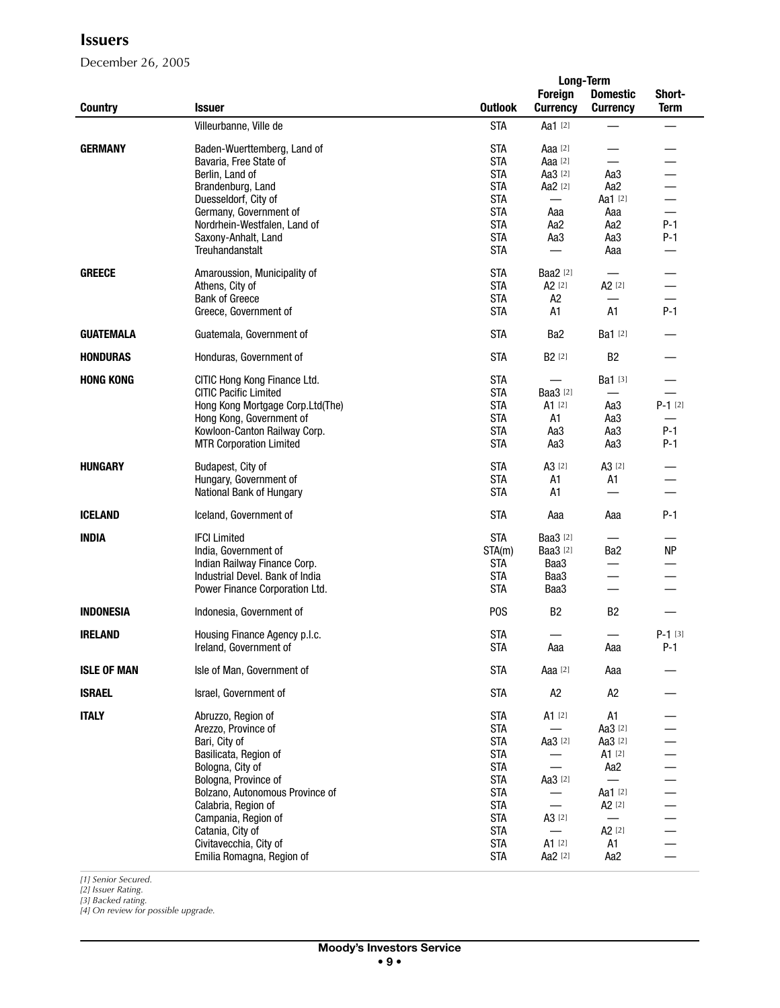December 26, 2005

|                    |                                  |                  | <b>Long-Term</b>         |                    |             |
|--------------------|----------------------------------|------------------|--------------------------|--------------------|-------------|
|                    |                                  |                  | <b>Foreign</b>           | <b>Domestic</b>    | Short-      |
| <b>Country</b>     | <b>Issuer</b>                    | <b>Outlook</b>   | <b>Currency</b>          | <b>Currency</b>    | <b>Term</b> |
|                    |                                  |                  |                          |                    |             |
|                    | Villeurbanne, Ville de           | <b>STA</b>       | Aa1 [2]                  |                    |             |
| <b>GERMANY</b>     | Baden-Wuerttemberg, Land of      | <b>STA</b>       | Aaa $[2]$                |                    |             |
|                    | Bavaria, Free State of           | <b>STA</b>       | Aaa [2]                  |                    |             |
|                    |                                  | <b>STA</b>       |                          |                    |             |
|                    | Berlin, Land of                  |                  | Aa3 [2]                  | Aa3                |             |
|                    | Brandenburg, Land                | <b>STA</b>       | Aa2 [2]                  | Aa2                |             |
|                    | Duesseldorf, City of             | <b>STA</b>       | $\overline{\phantom{0}}$ | Aa1 [2]            |             |
|                    | Germany, Government of           | <b>STA</b>       | Aaa                      | Aaa                |             |
|                    | Nordrhein-Westfalen, Land of     | <b>STA</b>       | Aa2                      | Aa2                | $P-1$       |
|                    | Saxony-Anhalt, Land              | <b>STA</b>       | Aa3                      | Aa3                | $P-1$       |
|                    | Treuhandanstalt                  | <b>STA</b>       |                          | Aaa                |             |
|                    |                                  |                  |                          |                    |             |
| <b>GREECE</b>      | Amaroussion, Municipality of     | <b>STA</b>       | <b>Baa2</b> [2]          |                    |             |
|                    | Athens, City of                  | <b>STA</b>       | $A2$ [2]                 | A <sub>2</sub> [2] |             |
|                    | <b>Bank of Greece</b>            | <b>STA</b>       | A2                       |                    |             |
|                    | Greece, Government of            | <b>STA</b>       | A1                       | A1                 | $P-1$       |
|                    |                                  |                  |                          |                    |             |
| <b>GUATEMALA</b>   | Guatemala, Government of         | <b>STA</b>       | Ba <sub>2</sub>          | Ba1 [2]            |             |
|                    |                                  |                  |                          |                    |             |
| <b>HONDURAS</b>    | Honduras, Government of          | <b>STA</b>       | B <sub>2</sub> [2]       | B <sub>2</sub>     |             |
| <b>HONG KONG</b>   | CITIC Hong Kong Finance Ltd.     | <b>STA</b>       |                          | Ba1 [3]            |             |
|                    |                                  | <b>STA</b>       | <b>Baa3</b> [2]          | $\qquad \qquad$    |             |
|                    | <b>CITIC Pacific Limited</b>     |                  |                          |                    |             |
|                    | Hong Kong Mortgage Corp.Ltd(The) | <b>STA</b>       | $A1$ [2]                 | Aa3                | $P-1$ [2]   |
|                    | Hong Kong, Government of         | <b>STA</b>       | A1                       | Aa3                |             |
|                    | Kowloon-Canton Railway Corp.     | <b>STA</b>       | Aa3                      | Aa3                | $P-1$       |
|                    | <b>MTR Corporation Limited</b>   | <b>STA</b>       | Aa3                      | Aa3                | $P-1$       |
|                    |                                  |                  |                          |                    |             |
| <b>HUNGARY</b>     | Budapest, City of                | <b>STA</b>       | A3 <sup>[2]</sup>        | A3 <sup>[2]</sup>  |             |
|                    | Hungary, Government of           | <b>STA</b>       | A1                       | A1                 |             |
|                    | National Bank of Hungary         | <b>STA</b>       | A <sub>1</sub>           | $\equiv$           |             |
| <b>ICELAND</b>     | Iceland, Government of           | <b>STA</b>       | Aaa                      | Aaa                | $P-1$       |
|                    |                                  |                  |                          |                    |             |
| <b>INDIA</b>       | <b>IFCI Limited</b>              | <b>STA</b>       | <b>Baa3</b> [2]          |                    |             |
|                    | India, Government of             | STA(m)           | <b>Baa3</b> [2]          | Ba <sub>2</sub>    | <b>NP</b>   |
|                    | Indian Railway Finance Corp.     | <b>STA</b>       | Baa3                     |                    |             |
|                    | Industrial Devel. Bank of India  | <b>STA</b>       | Baa3                     | $\qquad \qquad$    |             |
|                    |                                  |                  |                          |                    |             |
|                    | Power Finance Corporation Ltd.   | <b>STA</b>       | Baa3                     |                    |             |
| <b>INDONESIA</b>   | Indonesia, Government of         | P <sub>0</sub> S | B <sub>2</sub>           | B <sub>2</sub>     |             |
|                    |                                  |                  |                          |                    |             |
| <b>IRELAND</b>     | Housing Finance Agency p.l.c.    | <b>STA</b>       |                          |                    | $P-1$ [3]   |
|                    | Ireland, Government of           | STA              | Aaa                      | Aaa                | $P-1$       |
|                    |                                  |                  |                          |                    |             |
| <b>ISLE OF MAN</b> | Isle of Man, Government of       | <b>STA</b>       | Aaa [2]                  | Aaa                |             |
|                    |                                  |                  |                          |                    |             |
| <b>ISRAEL</b>      | Israel, Government of            | <b>STA</b>       | A <sub>2</sub>           | A <sub>2</sub>     |             |
|                    |                                  |                  |                          |                    |             |
| <b>ITALY</b>       | Abruzzo, Region of               | <b>STA</b>       | A1 [2]                   | A1                 |             |
|                    | Arezzo, Province of              | <b>STA</b>       | $\overline{\phantom{0}}$ | Aa3 [2]            |             |
|                    | Bari, City of                    | <b>STA</b>       | Aa3 [2]                  | Aa3 [2]            |             |
|                    | Basilicata, Region of            | <b>STA</b>       |                          | A1 [2]             |             |
|                    | Bologna, City of                 | <b>STA</b>       | $\equiv$                 | Aa2                |             |
|                    | Bologna, Province of             | <b>STA</b>       | Aa3 [2]                  |                    |             |
|                    | Bolzano, Autonomous Province of  | <b>STA</b>       |                          | Aa1 [2]            |             |
|                    | Calabria, Region of              | <b>STA</b>       | $\qquad \qquad -$        | A <sub>2</sub> [2] |             |
|                    | Campania, Region of              | <b>STA</b>       | A3 <sup>[2]</sup>        |                    |             |
|                    | Catania, City of                 | <b>STA</b>       |                          | A <sub>2</sub> [2] |             |
|                    | Civitavecchia, City of           | <b>STA</b>       | $A1$ [2]                 | A1                 |             |
|                    | Emilia Romagna, Region of        | <b>STA</b>       | Aa2 [2]                  | Aa2                |             |
|                    |                                  |                  |                          |                    |             |

*[1] Senior Secured. [2] Issuer Rating.*

*[3] Backed rating. [4] On review for possible upgrade.*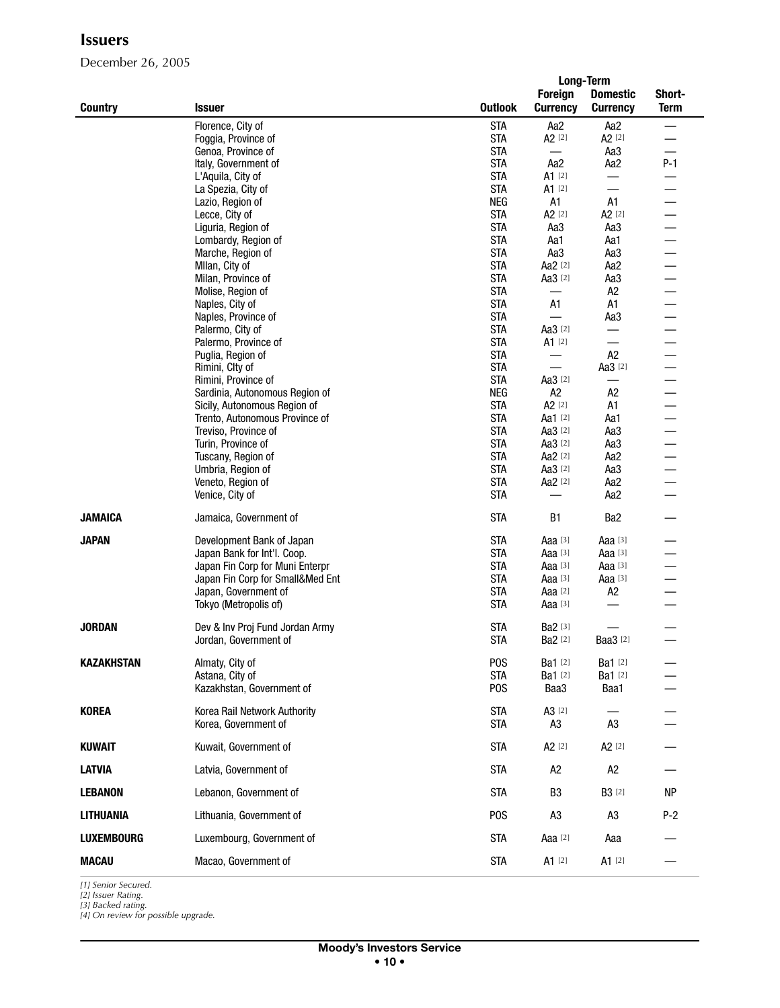December 26, 2005

|                   |                                                                |                          |                                      | <b>Long-Term</b>          |             |
|-------------------|----------------------------------------------------------------|--------------------------|--------------------------------------|---------------------------|-------------|
|                   |                                                                |                          | <b>Foreign</b>                       | <b>Domestic</b>           | Short-      |
| <b>Country</b>    | <b>Issuer</b>                                                  | <b>Outlook</b>           | <b>Currency</b>                      | <b>Currency</b>           | <b>Term</b> |
|                   | Florence, City of                                              | <b>STA</b>               | Aa <sub>2</sub>                      | Aa <sub>2</sub>           | —           |
|                   | Foggia, Province of                                            | <b>STA</b>               | A <sub>2</sub> [2]                   | A <sub>2</sub> [2]        |             |
|                   | Genoa, Province of                                             | <b>STA</b>               | $\qquad \qquad$                      | Aa3                       |             |
|                   | Italy, Government of                                           | <b>STA</b>               | Aa2                                  | Aa2                       | $P-1$       |
|                   | L'Aquila, City of                                              | <b>STA</b>               | A1 [2]                               | $\qquad \qquad$           |             |
|                   | La Spezia, City of                                             | <b>STA</b>               | $A1$ [2]                             | $\overline{\phantom{0}}$  |             |
|                   | Lazio, Region of                                               | <b>NEG</b>               | A1                                   | A1                        |             |
|                   | Lecce, City of                                                 | <b>STA</b><br><b>STA</b> | A <sub>2</sub> [2]<br>Aa3            | A <sub>2</sub> [2]<br>Aa3 |             |
|                   | Liguria, Region of<br>Lombardy, Region of                      | <b>STA</b>               | Aa1                                  | Aa1                       |             |
|                   | Marche, Region of                                              | <b>STA</b>               | Aa3                                  | Aa3                       |             |
|                   | Mllan, City of                                                 | <b>STA</b>               | Aa2 [2]                              | Aa2                       |             |
|                   | Milan, Province of                                             | <b>STA</b>               | Aa3 [2]                              | Aa3                       |             |
|                   | Molise, Region of                                              | <b>STA</b>               | —                                    | A <sub>2</sub>            |             |
|                   | Naples, City of                                                | <b>STA</b>               | A1                                   | A1                        |             |
|                   | Naples, Province of                                            | <b>STA</b>               |                                      | Aa3                       |             |
|                   | Palermo, City of                                               | <b>STA</b>               | Aa3 [2]                              | —                         |             |
|                   | Palermo, Province of                                           | <b>STA</b>               | $A1$ [2]                             | $\overline{\phantom{0}}$  |             |
|                   | Puglia, Region of                                              | <b>STA</b>               |                                      | A2                        |             |
|                   | Rimini, Clty of                                                | <b>STA</b>               | $\overline{\phantom{0}}$             | Aa3 [2]                   |             |
|                   | Rimini, Province of                                            | <b>STA</b>               | Aa3 [2]                              | $\overline{\phantom{0}}$  |             |
|                   | Sardinia, Autonomous Region of                                 | <b>NEG</b><br><b>STA</b> | A <sub>2</sub><br>A <sub>2</sub> [2] | A <sub>2</sub><br>A1      |             |
|                   | Sicily, Autonomous Region of<br>Trento, Autonomous Province of | <b>STA</b>               | Aa1 [2]                              | Aa1                       |             |
|                   | Treviso, Province of                                           | <b>STA</b>               | Aa3 [2]                              | Aa3                       |             |
|                   | Turin, Province of                                             | <b>STA</b>               | Aa3 [2]                              | Aa3                       |             |
|                   | Tuscany, Region of                                             | <b>STA</b>               | Aa2 [2]                              | Aa2                       |             |
|                   | Umbria, Region of                                              | <b>STA</b>               | Aa3 [2]                              | Aa3                       |             |
|                   | Veneto, Region of                                              | <b>STA</b>               | Aa2 [2]                              | Aa2                       |             |
|                   | Venice, City of                                                | <b>STA</b>               |                                      | Aa2                       |             |
| <b>JAMAICA</b>    | Jamaica, Government of                                         | <b>STA</b>               | <b>B1</b>                            | Ba2                       |             |
| <b>JAPAN</b>      | Development Bank of Japan                                      | <b>STA</b>               | Aaa $[3]$                            | Aaa [3]                   |             |
|                   | Japan Bank for Int'l. Coop.                                    | <b>STA</b>               | Aaa $[3]$                            | Aaa [3]                   |             |
|                   | Japan Fin Corp for Muni Enterpr                                | <b>STA</b>               | Aaa [3]                              | Aaa [3]                   |             |
|                   | Japan Fin Corp for Small&Med Ent                               | <b>STA</b>               | Aaa $[3]$                            | Aaa [3]                   |             |
|                   | Japan, Government of                                           | <b>STA</b>               | Aaa $[2]$                            | A <sub>2</sub>            |             |
|                   | Tokyo (Metropolis of)                                          | <b>STA</b>               | Aaa [3]                              |                           |             |
|                   |                                                                |                          |                                      |                           |             |
| <b>JORDAN</b>     | Dev & Inv Proj Fund Jordan Army<br>Jordan, Government of       | <b>STA</b><br><b>STA</b> | Ba2 [3]<br>Ba2 [2]                   | <b>Baa3</b> [2]           |             |
|                   |                                                                |                          |                                      |                           |             |
| <b>KAZAKHSTAN</b> | Almaty, City of                                                | P <sub>O</sub> S         | <b>Ba1</b> [2]                       | Ba1 [2]                   |             |
|                   | Astana, City of                                                | <b>STA</b>               | Ba1 [2]                              | Ba1 [2]                   |             |
|                   | Kazakhstan, Government of                                      | P <sub>O</sub> S         | Baa3                                 | Baa1                      |             |
| <b>KOREA</b>      | Korea Rail Network Authority                                   | <b>STA</b>               | A3 <sup>[2]</sup>                    |                           |             |
|                   | Korea, Government of                                           | <b>STA</b>               | A3                                   | A <sub>3</sub>            |             |
|                   |                                                                |                          |                                      |                           |             |
| <b>KUWAIT</b>     | Kuwait, Government of                                          | <b>STA</b>               | A <sub>2</sub> [2]                   | A <sub>2</sub> [2]        |             |
| <b>LATVIA</b>     | Latvia, Government of                                          | <b>STA</b>               | A <sub>2</sub>                       | A <sub>2</sub>            |             |
| <b>LEBANON</b>    | Lebanon, Government of                                         | <b>STA</b>               | B <sub>3</sub>                       | <b>B3</b> [2]             | <b>NP</b>   |
| <b>LITHUANIA</b>  | Lithuania, Government of                                       | P <sub>O</sub> S         | A <sub>3</sub>                       | A <sub>3</sub>            | $P-2$       |
| <b>LUXEMBOURG</b> | Luxembourg, Government of                                      | <b>STA</b>               | Aaa [2]                              | Aaa                       |             |
| <b>MACAU</b>      | Macao, Government of                                           | <b>STA</b>               | $A1$ [2]                             | $A1$ [2]                  |             |

*[1] Senior Secured. [2] Issuer Rating. [3] Backed rating.*

*[4] On review for possible upgrade.*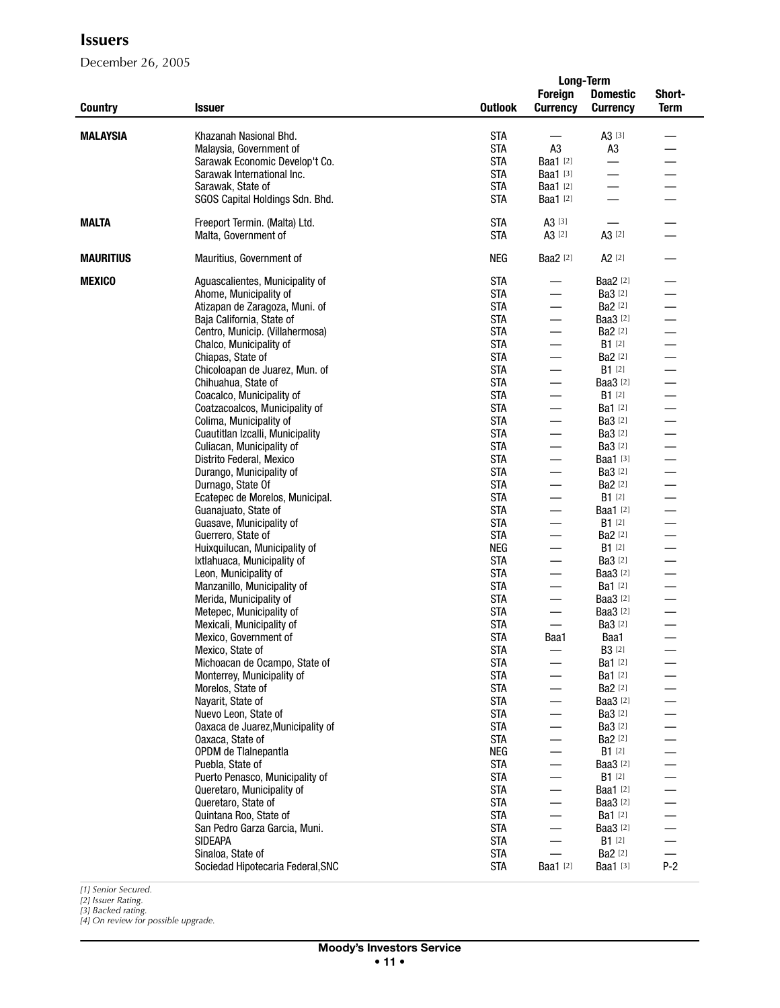December 26, 2005

|                  |                                                           |                |                          | <b>Long-Term</b>         |                          |
|------------------|-----------------------------------------------------------|----------------|--------------------------|--------------------------|--------------------------|
|                  |                                                           |                | <b>Foreign</b>           | <b>Domestic</b>          | Short-                   |
| <b>Country</b>   | <b>Issuer</b>                                             | <b>Outlook</b> | <b>Currency</b>          | <b>Currency</b>          | <b>Term</b>              |
|                  |                                                           |                |                          |                          |                          |
| <b>MALAYSIA</b>  | Khazanah Nasional Bhd.                                    | <b>STA</b>     |                          | $A3^{[3]}$               |                          |
|                  | Malaysia, Government of                                   | <b>STA</b>     | A <sub>3</sub>           | A <sub>3</sub>           |                          |
|                  | Sarawak Economic Develop't Co.                            | <b>STA</b>     | Baa1 [2]                 | $\overline{\phantom{0}}$ |                          |
|                  | Sarawak International Inc.                                | <b>STA</b>     | <b>Baa1</b> [3]          |                          |                          |
|                  | Sarawak, State of                                         | <b>STA</b>     | <b>Baa1</b> [2]          | $\overline{\phantom{0}}$ |                          |
|                  | SGOS Capital Holdings Sdn. Bhd.                           | <b>STA</b>     | Baa1 [2]                 |                          |                          |
|                  |                                                           |                |                          |                          |                          |
| <b>MALTA</b>     | Freeport Termin. (Malta) Ltd.                             | <b>STA</b>     | A3 <sup>[3]</sup>        |                          |                          |
|                  | Malta, Government of                                      | <b>STA</b>     | A3 <sup>[2]</sup>        | A3 [2]                   |                          |
|                  |                                                           |                |                          |                          |                          |
| <b>MAURITIUS</b> | Mauritius, Government of                                  | <b>NEG</b>     | <b>Baa2</b> [2]          | $A2$ [2]                 |                          |
| <b>MEXICO</b>    |                                                           | <b>STA</b>     | $\overline{\phantom{0}}$ | <b>Baa2</b> [2]          |                          |
|                  | Aguascalientes, Municipality of<br>Ahome, Municipality of | <b>STA</b>     | $\overline{\phantom{0}}$ | <b>Ba3</b> [2]           |                          |
|                  | Atizapan de Zaragoza, Muni. of                            | <b>STA</b>     | $\overline{\phantom{0}}$ | <b>Ba2</b> [2]           |                          |
|                  | Baja California, State of                                 | <b>STA</b>     | $\overline{\phantom{0}}$ | <b>Baa3</b> [2]          |                          |
|                  | Centro, Municip. (Villahermosa)                           | <b>STA</b>     | $\overline{\phantom{0}}$ | <b>Ba2</b> [2]           |                          |
|                  | Chalco, Municipality of                                   | <b>STA</b>     |                          | $B1$ [2]                 |                          |
|                  | Chiapas, State of                                         | <b>STA</b>     | $\overline{\phantom{0}}$ | Ba2 [2]                  |                          |
|                  | Chicoloapan de Juarez, Mun. of                            | <b>STA</b>     | $\overline{\phantom{0}}$ | $B1$ [2]                 |                          |
|                  | Chihuahua, State of                                       | <b>STA</b>     | $\overline{\phantom{0}}$ | Baa3 [2]                 |                          |
|                  | Coacalco, Municipality of                                 | <b>STA</b>     | $\overline{\phantom{0}}$ | $B1$ [2]                 |                          |
|                  | Coatzacoalcos, Municipality of                            | <b>STA</b>     | $\qquad \qquad$          | <b>Ba1</b> [2]           |                          |
|                  | Colima, Municipality of                                   | <b>STA</b>     | $\overline{\phantom{0}}$ | Ba3 [2]                  |                          |
|                  | Cuautitlan Izcalli, Municipality                          | <b>STA</b>     | $\overline{\phantom{0}}$ | <b>Ba3</b> [2]           |                          |
|                  | Culiacan, Municipality of                                 | <b>STA</b>     |                          | <b>Ba3</b> [2]           |                          |
|                  | Distrito Federal, Mexico                                  | <b>STA</b>     | $\overline{\phantom{0}}$ | Baa1 [3]                 |                          |
|                  | Durango, Municipality of                                  | <b>STA</b>     | $\qquad \qquad$          | <b>Ba3</b> [2]           |                          |
|                  | Durnago, State Of                                         | <b>STA</b>     |                          | <b>Ba2</b> [2]           |                          |
|                  | Ecatepec de Morelos, Municipal.                           | <b>STA</b>     | $\qquad \qquad$          | $B1$ [2]                 |                          |
|                  | Guanajuato, State of                                      | <b>STA</b>     | $\overline{\phantom{0}}$ | <b>Baa1</b> [2]          |                          |
|                  | Guasave, Municipality of                                  | <b>STA</b>     | $\qquad \qquad$          | $B1$ [2]                 |                          |
|                  | Guerrero, State of                                        | <b>STA</b>     | $\overline{\phantom{0}}$ | Ba2 [2]                  |                          |
|                  | Huixquilucan, Municipality of                             | NEG            | $\overline{\phantom{0}}$ | $B1$ [2]                 |                          |
|                  | Ixtlahuaca, Municipality of                               | <b>STA</b>     |                          | <b>Ba3</b> [2]           |                          |
|                  | Leon, Municipality of                                     | <b>STA</b>     | $\overline{\phantom{0}}$ | Baa3 [2]                 |                          |
|                  | Manzanillo, Municipality of                               | <b>STA</b>     |                          | <b>Ba1</b> [2]           |                          |
|                  | Merida, Municipality of                                   | <b>STA</b>     |                          | <b>Baa3</b> [2]          |                          |
|                  | Metepec, Municipality of                                  | <b>STA</b>     | $\qquad \qquad$          | Baa3 [2]                 |                          |
|                  | Mexicali, Municipality of                                 | <b>STA</b>     | $\overline{\phantom{0}}$ | <b>Ba3</b> [2]           |                          |
|                  | Mexico, Government of                                     | <b>STA</b>     | Baa1                     | Baa1                     | $\overline{\phantom{0}}$ |
|                  | Mexico, State of                                          | SIA            |                          | <b>B3</b> [2]            |                          |
|                  | Michoacan de Ocampo, State of                             | <b>STA</b>     | $\overline{\phantom{0}}$ | <b>Ba1</b> [2]           |                          |
|                  | Monterrey, Municipality of                                | <b>STA</b>     |                          | <b>Ba1</b> [2]           |                          |
|                  | Morelos, State of                                         | <b>STA</b>     | $\overline{\phantom{0}}$ | Ba2 [2]                  |                          |
|                  | Nayarit, State of                                         | <b>STA</b>     | $\overline{\phantom{0}}$ | <b>Baa3</b> [2]          |                          |
|                  | Nuevo Leon, State of                                      | <b>STA</b>     |                          | <b>Ba3</b> [2]           |                          |
|                  | Oaxaca de Juarez, Municipality of                         | <b>STA</b>     | $\overline{\phantom{0}}$ | <b>Ba3</b> [2]           |                          |
|                  | Oaxaca, State of                                          | <b>STA</b>     | $\overline{\phantom{0}}$ | <b>Ba2</b> [2]           |                          |
|                  | OPDM de Tlalnepantla                                      | <b>NEG</b>     |                          | <b>B1</b> [2]            |                          |
|                  | Puebla, State of                                          | <b>STA</b>     | $\overline{\phantom{0}}$ | Baa3 [2]                 |                          |
|                  | Puerto Penasco, Municipality of                           | <b>STA</b>     | $\overline{\phantom{0}}$ | $B1$ [2]                 |                          |
|                  | Queretaro, Municipality of                                | <b>STA</b>     | $\overline{\phantom{0}}$ | Baa1 [2]                 |                          |
|                  | Queretaro, State of                                       | <b>STA</b>     | $\overline{\phantom{0}}$ | Baa3 [2]                 |                          |
|                  | Quintana Roo, State of                                    | <b>STA</b>     |                          | <b>Ba1</b> [2]           |                          |
|                  | San Pedro Garza Garcia, Muni.                             | <b>STA</b>     |                          | <b>Baa3</b> [2]          |                          |
|                  | SIDEAPA                                                   | <b>STA</b>     | $\qquad \qquad$          | $B1^{[2]}$               |                          |
|                  | Sinaloa, State of                                         | <b>STA</b>     | $\overline{\phantom{0}}$ | <b>Ba2</b> [2]           | $\equiv$                 |
|                  | Sociedad Hipotecaria Federal, SNC                         | <b>STA</b>     | <b>Baa1</b> [2]          | Baa1 [3]                 | $P-2$                    |

*[1] Senior Secured.*

*[2] Issuer Rating. [3] Backed rating. [4] On review for possible upgrade.*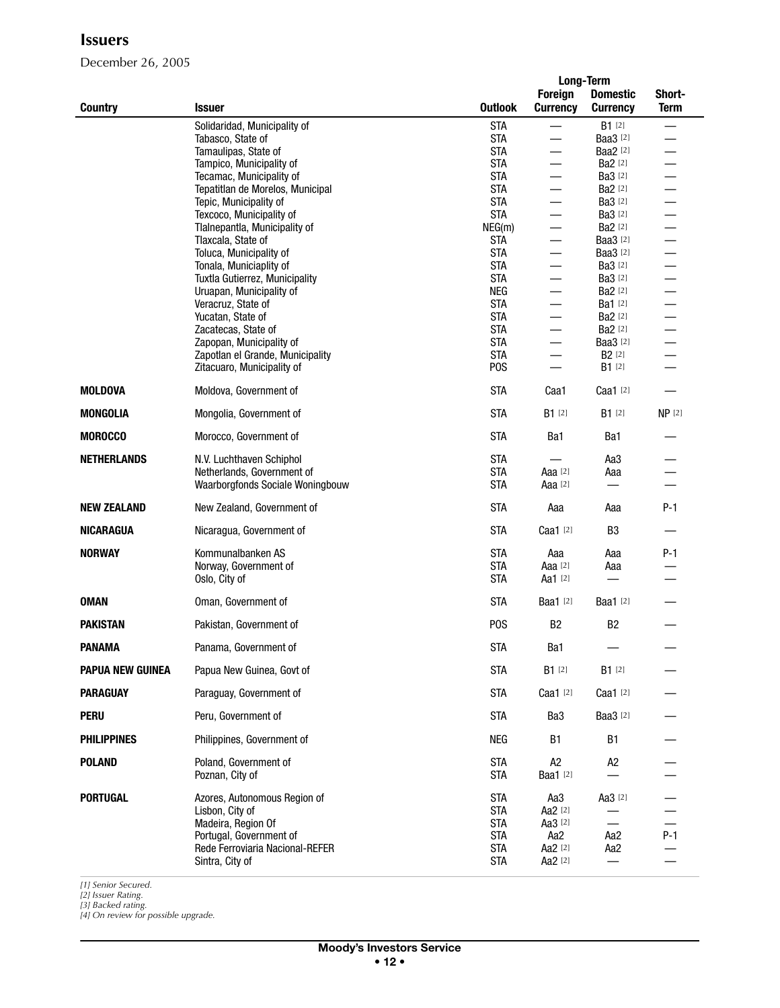December 26, 2005

|                         |                                                            |                          | Long-Term                |                          |                   |
|-------------------------|------------------------------------------------------------|--------------------------|--------------------------|--------------------------|-------------------|
|                         |                                                            |                          | <b>Foreign</b>           | <b>Domestic</b>          | Short-            |
| <b>Country</b>          | <b>Issuer</b>                                              | <b>Outlook</b>           | <b>Currency</b>          | <b>Currency</b>          | <b>Term</b>       |
|                         | Solidaridad, Municipality of                               | <b>STA</b>               |                          | $B1$ [2]                 |                   |
|                         | Tabasco, State of                                          | <b>STA</b>               | $\qquad \qquad$          | Baa3 [2]                 |                   |
|                         | Tamaulipas, State of                                       | <b>STA</b>               |                          | <b>Baa2</b> [2]          |                   |
|                         | Tampico, Municipality of                                   | <b>STA</b>               | $\qquad \qquad$          | <b>Ba2</b> [2]           |                   |
|                         | Tecamac, Municipality of                                   | <b>STA</b>               |                          | Ba3 [2]                  |                   |
|                         | Tepatitlan de Morelos, Municipal                           | <b>STA</b>               | $\overline{\phantom{0}}$ | Ba2 [2]                  |                   |
|                         | Tepic, Municipality of                                     | <b>STA</b>               | $\overline{\phantom{0}}$ | <b>Ba3</b> [2]           |                   |
|                         | Texcoco, Municipality of                                   | <b>STA</b>               | $\overline{\phantom{0}}$ | Ba3 [2]                  |                   |
|                         | Tlalnepantla, Municipality of                              | NEG(m)                   | $\overline{\phantom{0}}$ | Ba2 [2]                  |                   |
|                         | Tlaxcala, State of                                         | <b>STA</b>               | $\overline{\phantom{0}}$ | <b>Baa3</b> [2]          |                   |
|                         | Toluca, Municipality of                                    | <b>STA</b>               | $\overline{\phantom{0}}$ | Baa3 [2]                 |                   |
|                         | Tonala, Municiaplity of                                    | <b>STA</b><br><b>STA</b> | $\overline{\phantom{0}}$ | Ba3 [2]<br>Ba3 [2]       |                   |
|                         | Tuxtla Gutierrez, Municipality<br>Uruapan, Municipality of | NEG                      | $\overline{\phantom{0}}$ | Ba2 [2]                  |                   |
|                         | Veracruz, State of                                         | <b>STA</b>               | $\overline{\phantom{0}}$ | Ba1 [2]                  |                   |
|                         | Yucatan, State of                                          | <b>STA</b>               | $\qquad \qquad$          | Ba2 [2]                  |                   |
|                         | Zacatecas, State of                                        | <b>STA</b>               | $\overline{\phantom{0}}$ | Ba2 [2]                  |                   |
|                         | Zapopan, Municipality of                                   | <b>STA</b>               | $\overline{\phantom{0}}$ | <b>Baa3</b> [2]          |                   |
|                         | Zapotlan el Grande, Municipality                           | <b>STA</b>               | $\qquad \qquad$          | <b>B2</b> [2]            |                   |
|                         | Zitacuaro, Municipality of                                 | <b>POS</b>               |                          | $B1$ [2]                 |                   |
| <b>MOLDOVA</b>          | Moldova, Government of                                     | <b>STA</b>               | Caa1                     | Caa1 [2]                 |                   |
| <b>MONGOLIA</b>         | Mongolia, Government of                                    | <b>STA</b>               | $B1$ [2]                 | $B1^{[2]}$               | NP <sub>[2]</sub> |
| <b>MOROCCO</b>          | Morocco, Government of                                     | <b>STA</b>               | Ba1                      | Ba1                      |                   |
| <b>NETHERLANDS</b>      | N.V. Luchthaven Schiphol                                   | <b>STA</b>               |                          | Aa3                      |                   |
|                         | Netherlands, Government of                                 | <b>STA</b>               | Aaa $[2]$                | Aaa                      |                   |
|                         | Waarborgfonds Sociale Woningbouw                           | <b>STA</b>               | Aaa [2]                  |                          |                   |
| <b>NEW ZEALAND</b>      | New Zealand, Government of                                 | <b>STA</b>               | Aaa                      | Aaa                      | $P-1$             |
| <b>NICARAGUA</b>        | Nicaragua, Government of                                   | <b>STA</b>               | Caa1 [2]                 | B <sub>3</sub>           |                   |
| <b>NORWAY</b>           | Kommunalbanken AS                                          | <b>STA</b>               | Aaa                      | Aaa                      | $P-1$             |
|                         | Norway, Government of                                      | <b>STA</b>               | Aaa [2]                  | Aaa                      |                   |
|                         | Oslo, City of                                              | <b>STA</b>               | Aa1 [2]                  | $\overline{\phantom{0}}$ |                   |
| <b>OMAN</b>             | Oman, Government of                                        | <b>STA</b>               | <b>Baa1</b> [2]          | <b>Baa1</b> [2]          |                   |
| <b>PAKISTAN</b>         | Pakistan, Government of                                    | P <sub>0</sub> S         | B <sub>2</sub>           | B <sub>2</sub>           |                   |
| <b>PANAMA</b>           | Panama, Government of                                      | <b>STA</b>               | Ba1                      |                          |                   |
| <b>PAPUA NEW GUINEA</b> | Papua New Guinea, Govt of                                  | <b>STA</b>               | $B1$ [2]                 | $B1$ [2]                 |                   |
| <b>PARAGUAY</b>         | Paraguay, Government of                                    | <b>STA</b>               | Caa1 [2]                 | Caa1 [2]                 |                   |
| <b>PERU</b>             | Peru, Government of                                        | <b>STA</b>               | Ba <sub>3</sub>          | <b>Baa3</b> [2]          |                   |
| <b>PHILIPPINES</b>      | Philippines, Government of                                 | <b>NEG</b>               | <b>B1</b>                | B1                       |                   |
| <b>POLAND</b>           | Poland, Government of<br>Poznan, City of                   | <b>STA</b><br><b>STA</b> | A2<br><b>Baa1</b> [2]    | A <sub>2</sub>           |                   |
| <b>PORTUGAL</b>         | Azores, Autonomous Region of                               | <b>STA</b>               | Aa3                      | Aa3 [2]                  |                   |
|                         | Lisbon, City of                                            | <b>STA</b>               | Aa2 [2]                  |                          |                   |
|                         | Madeira, Region Of                                         | <b>STA</b>               | Aa3 [2]                  | $\overline{\phantom{0}}$ |                   |
|                         | Portugal, Government of                                    | <b>STA</b>               | Aa2                      | Aa2                      | $P-1$             |
|                         | Rede Ferroviaria Nacional-REFER                            | <b>STA</b>               | Aa2 [2]                  | Aa2                      |                   |
|                         | Sintra, City of                                            | STA                      | Aa2 [2]                  | —                        |                   |

*[1] Senior Secured. [2] Issuer Rating. [3] Backed rating.*

*[4] On review for possible upgrade.*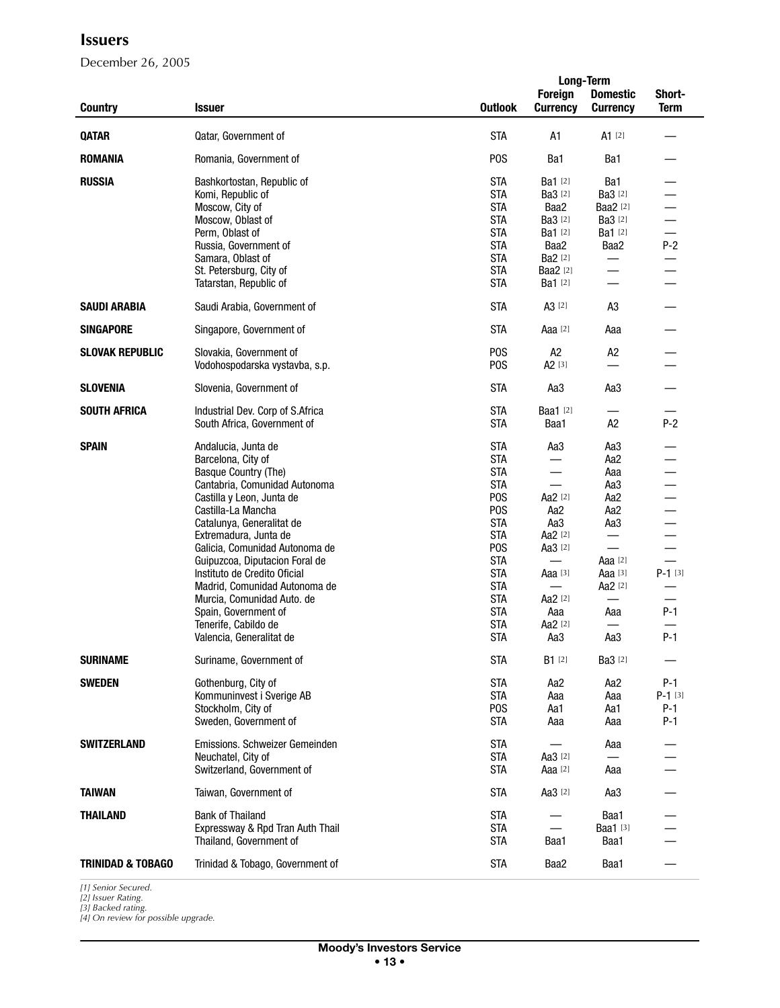December 26, 2005

|                              |                                                  |                          | <b>Long-Term</b>         |                          |             |  |
|------------------------------|--------------------------------------------------|--------------------------|--------------------------|--------------------------|-------------|--|
|                              |                                                  |                          | <b>Foreign</b>           | <b>Domestic</b>          | Short-      |  |
| <b>Country</b>               | <b>Issuer</b>                                    | <b>Outlook</b>           | <b>Currency</b>          | <b>Currency</b>          | <b>Term</b> |  |
|                              |                                                  |                          |                          |                          |             |  |
| <b>QATAR</b>                 | Qatar, Government of                             | <b>STA</b>               | A1                       | $A1$ [2]                 |             |  |
| ROMANIA                      | Romania, Government of                           | P <sub>0</sub> S         | Ba1                      | Ba1                      |             |  |
| <b>RUSSIA</b>                | Bashkortostan, Republic of                       | <b>STA</b>               | Ba1 [2]                  | Ba1                      |             |  |
|                              | Komi, Republic of                                | <b>STA</b>               | <b>Ba3</b> [2]           | <b>Ba3</b> [2]           |             |  |
|                              | Moscow. City of                                  | <b>STA</b>               | Baa2                     | Baa2 [2]                 |             |  |
|                              | Moscow, Oblast of                                | <b>STA</b>               | <b>Ba3</b> [2]           | <b>Ba3</b> [2]           |             |  |
|                              | Perm, Oblast of                                  | <b>STA</b>               | <b>Ba1</b> [2]           | Ba1 [2]                  |             |  |
|                              | Russia, Government of                            | <b>STA</b>               | Baa2                     | Baa2                     | $P-2$       |  |
|                              | Samara, Oblast of                                | <b>STA</b>               | <b>Ba2</b> [2]           |                          |             |  |
|                              | St. Petersburg, City of                          | <b>STA</b>               | <b>Baa2</b> [2]          | $\equiv$                 |             |  |
|                              | Tatarstan, Republic of                           | <b>STA</b>               | Ba1 [2]                  |                          |             |  |
| <b>SAUDI ARABIA</b>          | Saudi Arabia, Government of                      | <b>STA</b>               | A3 <sup>[2]</sup>        | A3                       |             |  |
| <b>SINGAPORE</b>             | Singapore, Government of                         | <b>STA</b>               | Aaa <sup>[2]</sup>       | Aaa                      |             |  |
| <b>SLOVAK REPUBLIC</b>       | Slovakia, Government of                          | P <sub>O</sub> S         | A <sub>2</sub>           | A <sub>2</sub>           |             |  |
|                              | Vodohospodarska vystavba, s.p.                   | P <sub>O</sub> S         | A <sub>2</sub> [3]       |                          |             |  |
| <b>SLOVENIA</b>              | Slovenia, Government of                          | <b>STA</b>               | Aa3                      | Aa3                      |             |  |
| <b>SOUTH AFRICA</b>          | Industrial Dev. Corp of S.Africa                 | <b>STA</b>               | <b>Baa1</b> [2]          |                          |             |  |
|                              | South Africa, Government of                      | <b>STA</b>               | Baa1                     | A <sub>2</sub>           | $P-2$       |  |
|                              |                                                  |                          |                          |                          |             |  |
| <b>SPAIN</b>                 | Andalucia, Junta de                              | <b>STA</b>               | Aa3                      | Aa3                      |             |  |
|                              | Barcelona, City of                               | <b>STA</b>               |                          | Aa <sub>2</sub>          |             |  |
|                              | Basque Country (The)                             | <b>STA</b>               |                          | Aaa                      |             |  |
|                              | Cantabria, Comunidad Autonoma                    | <b>STA</b>               | $\overline{\phantom{0}}$ | Aa3                      |             |  |
|                              | Castilla y Leon, Junta de                        | P <sub>O</sub> S         | Aa2 [2]                  | Aa <sub>2</sub>          |             |  |
|                              | Castilla-La Mancha                               | P <sub>0</sub> S         | Aa2                      | Aa2                      |             |  |
|                              | Catalunya, Generalitat de                        | <b>STA</b>               | Aa3                      | Aa3                      |             |  |
|                              | Extremadura, Junta de                            | <b>STA</b>               | Aa2 [2]                  |                          |             |  |
|                              | Galicia, Comunidad Autonoma de                   | P <sub>0</sub> S         | Aa3 [2]                  | $\overline{\phantom{0}}$ |             |  |
|                              | Guipuzcoa, Diputacion Foral de                   | <b>STA</b>               | $\equiv$                 | Aaa [2]                  | $\equiv$    |  |
|                              | Instituto de Credito Oficial                     | <b>STA</b>               | Aaa [3]                  | Aaa [3]                  | $P-1$ [3]   |  |
|                              | Madrid, Comunidad Autonoma de                    | <b>STA</b>               |                          | Aa2 [2]                  |             |  |
|                              | Murcia, Comunidad Auto. de                       | <b>STA</b>               | Aa2 [2]                  | $\qquad \qquad$          |             |  |
|                              | Spain, Government of                             | <b>STA</b><br><b>STA</b> | Aaa<br>Aa2 [2]           | Aaa                      | $P-1$       |  |
|                              | Tenerife, Cabildo de<br>Valencia, Generalitat de | <b>STA</b>               | Aa3                      | Aa3                      | $P-1$       |  |
|                              |                                                  |                          |                          |                          |             |  |
| <b>SURINAME</b>              | Suriname, Government of                          | <b>STA</b>               | $B1$ [2]                 | <b>Ba3</b> [2]           |             |  |
| <b>SWEDEN</b>                | Gothenburg, City of                              | <b>STA</b>               | Aa2                      | Aa <sub>2</sub>          | $P-1$       |  |
|                              | Kommuninvest i Sverige AB                        | <b>STA</b>               | Aaa                      | Aaa                      | $P-1$ [3]   |  |
|                              | Stockholm, City of                               | P <sub>0</sub> S         | Aa1                      | Aa1                      | $P-1$       |  |
|                              | Sweden, Government of                            | <b>STA</b>               | Aaa                      | Aaa                      | $P-1$       |  |
| <b>SWITZERLAND</b>           | Emissions, Schweizer Gemeinden                   | <b>STA</b>               |                          | Aaa                      |             |  |
|                              | Neuchatel. City of                               | <b>STA</b>               | Aa3 [2]                  |                          |             |  |
|                              | Switzerland, Government of                       | <b>STA</b>               | Aaa [2]                  | Aaa                      |             |  |
| <b>TAIWAN</b>                | Taiwan, Government of                            | <b>STA</b>               | Aa3 [2]                  | Aa3                      |             |  |
| <b>THAILAND</b>              | <b>Bank of Thailand</b>                          | <b>STA</b>               |                          | Baa1                     |             |  |
|                              | Expressway & Rpd Tran Auth Thail                 | <b>STA</b>               | $\qquad \qquad$          | Baa1 [3]                 |             |  |
|                              | Thailand, Government of                          | <b>STA</b>               | Baa1                     | Baa1                     |             |  |
|                              |                                                  |                          |                          |                          |             |  |
| <b>TRINIDAD &amp; TOBAGO</b> | Trinidad & Tobago, Government of                 | <b>STA</b>               | Baa2                     | Baa1                     |             |  |

*[1] Senior Secured. [2] Issuer Rating.*

*[3] Backed rating. [4] On review for possible upgrade.*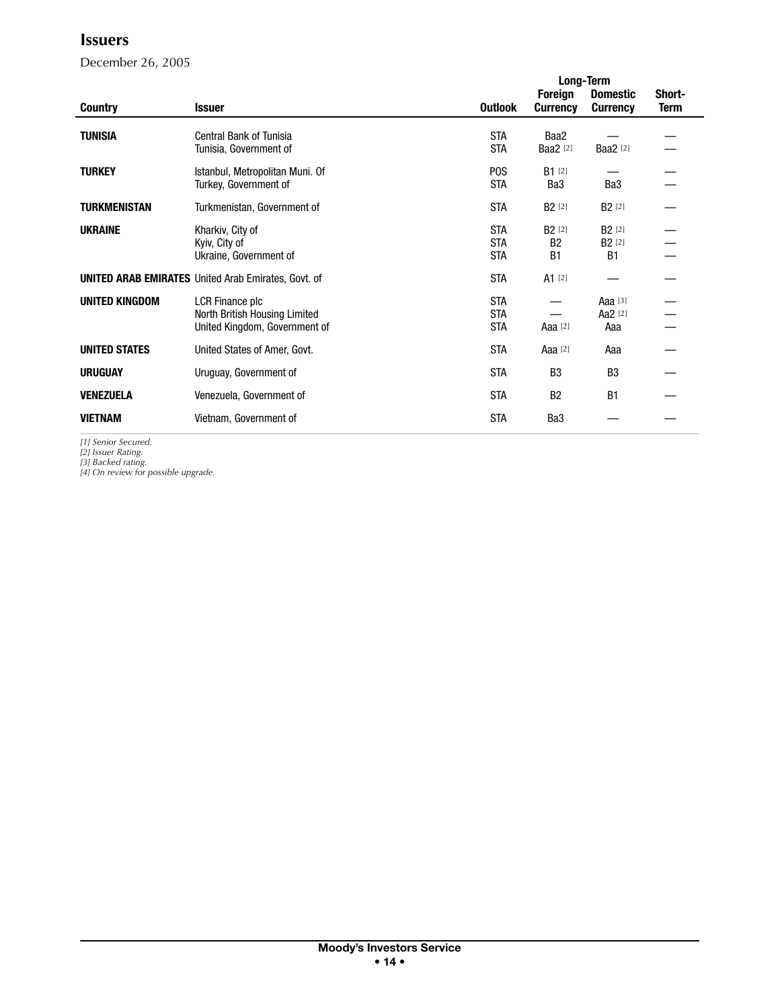December 26, 2005

|                       |                                                                                   |                                        | <b>Long-Term</b>                        |                                                  |                       |  |
|-----------------------|-----------------------------------------------------------------------------------|----------------------------------------|-----------------------------------------|--------------------------------------------------|-----------------------|--|
| <b>Country</b>        | <b>Issuer</b>                                                                     | <b>Outlook</b>                         | <b>Foreign</b><br><b>Currency</b>       | <b>Domestic</b><br><b>Currency</b>               | Short-<br><b>Term</b> |  |
| <b>TUNISIA</b>        | <b>Central Bank of Tunisia</b><br>Tunisia, Government of                          | <b>STA</b><br><b>STA</b>               | Baa2<br><b>Baa2</b> [2]                 | <b>Baa2</b> [2]                                  |                       |  |
| <b>TURKEY</b>         | Istanbul, Metropolitan Muni. Of<br>Turkey, Government of                          | P <sub>0</sub> S<br><b>STA</b>         | $B1$ [2]<br>Ba <sub>3</sub>             | Ba <sub>3</sub>                                  |                       |  |
| <b>TURKMENISTAN</b>   | Turkmenistan, Government of                                                       | <b>STA</b>                             | B <sub>2</sub> [2]                      | <b>B2</b> [2]                                    |                       |  |
| <b>UKRAINE</b>        | Kharkiv, City of<br>Kyiv, City of<br>Ukraine, Government of                       | <b>STA</b><br><b>STA</b><br><b>STA</b> | <b>B2</b> [2]<br><b>B2</b><br><b>B1</b> | <b>B2</b> [2]<br>B <sub>2</sub> [2]<br><b>B1</b> |                       |  |
|                       | <b>UNITED ARAB EMIRATES</b> United Arab Emirates, Govt. of                        | <b>STA</b>                             | $A1$ [2]                                |                                                  |                       |  |
| <b>UNITED KINGDOM</b> | LCR Finance plc<br>North British Housing Limited<br>United Kingdom, Government of | <b>STA</b><br><b>STA</b><br><b>STA</b> | Aaa [2]                                 | Aaa $[3]$<br>Aa2 [2]<br>Aaa                      |                       |  |
| <b>UNITED STATES</b>  | United States of Amer, Govt.                                                      | <b>STA</b>                             | Aaa $[2]$                               | Aaa                                              |                       |  |
| <b>URUGUAY</b>        | Uruguay, Government of                                                            | <b>STA</b>                             | B <sub>3</sub>                          | B <sub>3</sub>                                   |                       |  |
| <b>VENEZUELA</b>      | Venezuela, Government of                                                          | <b>STA</b>                             | <b>B2</b>                               | B1                                               |                       |  |
| <b>VIETNAM</b>        | Vietnam, Government of                                                            | <b>STA</b>                             | Ba <sub>3</sub>                         |                                                  |                       |  |

*[1] Senior Secured.*

*[2] Issuer Rating. [3] Backed rating. [4] On review for possible upgrade.*